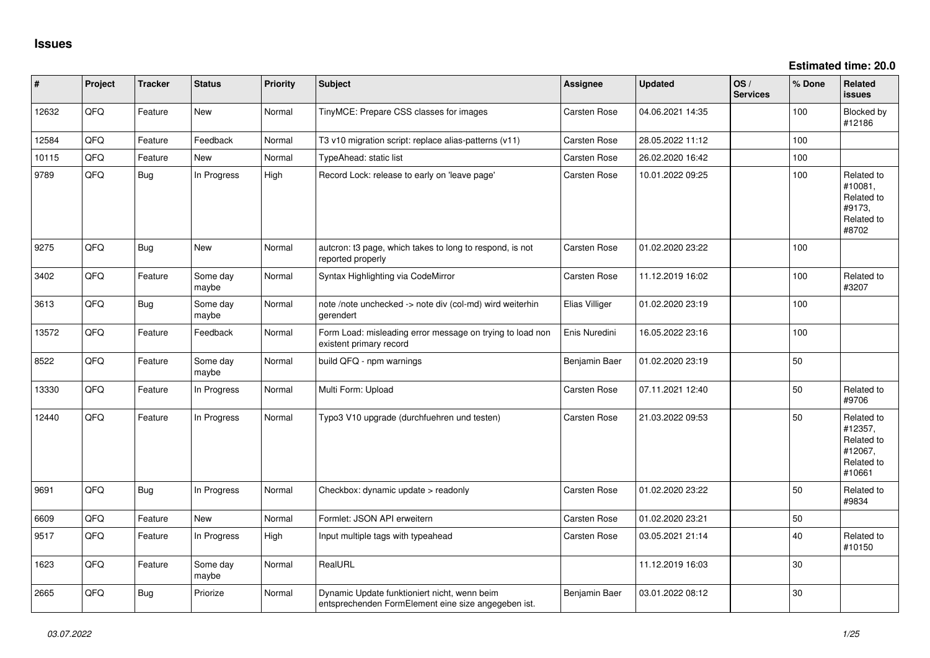**Estimated time: 20.0**

| #     | Project | <b>Tracker</b> | <b>Status</b>     | <b>Priority</b> | <b>Subject</b>                                                                                      | <b>Assignee</b>     | <b>Updated</b>   | OS/<br><b>Services</b> | % Done | Related<br><b>issues</b>                                               |
|-------|---------|----------------|-------------------|-----------------|-----------------------------------------------------------------------------------------------------|---------------------|------------------|------------------------|--------|------------------------------------------------------------------------|
| 12632 | QFQ     | Feature        | <b>New</b>        | Normal          | TinyMCE: Prepare CSS classes for images                                                             | Carsten Rose        | 04.06.2021 14:35 |                        | 100    | Blocked by<br>#12186                                                   |
| 12584 | QFQ     | Feature        | Feedback          | Normal          | T3 v10 migration script: replace alias-patterns (v11)                                               | Carsten Rose        | 28.05.2022 11:12 |                        | 100    |                                                                        |
| 10115 | QFQ     | Feature        | <b>New</b>        | Normal          | TypeAhead: static list                                                                              | Carsten Rose        | 26.02.2020 16:42 |                        | 100    |                                                                        |
| 9789  | QFQ     | Bug            | In Progress       | High            | Record Lock: release to early on 'leave page'                                                       | <b>Carsten Rose</b> | 10.01.2022 09:25 |                        | 100    | Related to<br>#10081,<br>Related to<br>#9173,<br>Related to<br>#8702   |
| 9275  | QFQ     | <b>Bug</b>     | <b>New</b>        | Normal          | autcron: t3 page, which takes to long to respond, is not<br>reported properly                       | Carsten Rose        | 01.02.2020 23:22 |                        | 100    |                                                                        |
| 3402  | QFQ     | Feature        | Some day<br>maybe | Normal          | Syntax Highlighting via CodeMirror                                                                  | <b>Carsten Rose</b> | 11.12.2019 16:02 |                        | 100    | Related to<br>#3207                                                    |
| 3613  | QFQ     | <b>Bug</b>     | Some day<br>maybe | Normal          | note /note unchecked -> note div (col-md) wird weiterhin<br>gerendert                               | Elias Villiger      | 01.02.2020 23:19 |                        | 100    |                                                                        |
| 13572 | QFQ     | Feature        | Feedback          | Normal          | Form Load: misleading error message on trying to load non<br>existent primary record                | Enis Nuredini       | 16.05.2022 23:16 |                        | 100    |                                                                        |
| 8522  | QFQ     | Feature        | Some day<br>maybe | Normal          | build QFQ - npm warnings                                                                            | Benjamin Baer       | 01.02.2020 23:19 |                        | 50     |                                                                        |
| 13330 | QFQ     | Feature        | In Progress       | Normal          | Multi Form: Upload                                                                                  | Carsten Rose        | 07.11.2021 12:40 |                        | 50     | Related to<br>#9706                                                    |
| 12440 | QFQ     | Feature        | In Progress       | Normal          | Typo3 V10 upgrade (durchfuehren und testen)                                                         | Carsten Rose        | 21.03.2022 09:53 |                        | 50     | Related to<br>#12357,<br>Related to<br>#12067,<br>Related to<br>#10661 |
| 9691  | QFQ     | <b>Bug</b>     | In Progress       | Normal          | Checkbox: dynamic update > readonly                                                                 | Carsten Rose        | 01.02.2020 23:22 |                        | 50     | Related to<br>#9834                                                    |
| 6609  | QFQ     | Feature        | <b>New</b>        | Normal          | Formlet: JSON API erweitern                                                                         | Carsten Rose        | 01.02.2020 23:21 |                        | 50     |                                                                        |
| 9517  | QFQ     | Feature        | In Progress       | High            | Input multiple tags with typeahead                                                                  | Carsten Rose        | 03.05.2021 21:14 |                        | 40     | Related to<br>#10150                                                   |
| 1623  | QFQ     | Feature        | Some day<br>maybe | Normal          | RealURL                                                                                             |                     | 11.12.2019 16:03 |                        | 30     |                                                                        |
| 2665  | QFQ     | <b>Bug</b>     | Priorize          | Normal          | Dynamic Update funktioniert nicht, wenn beim<br>entsprechenden FormElement eine size angegeben ist. | Benjamin Baer       | 03.01.2022 08:12 |                        | 30     |                                                                        |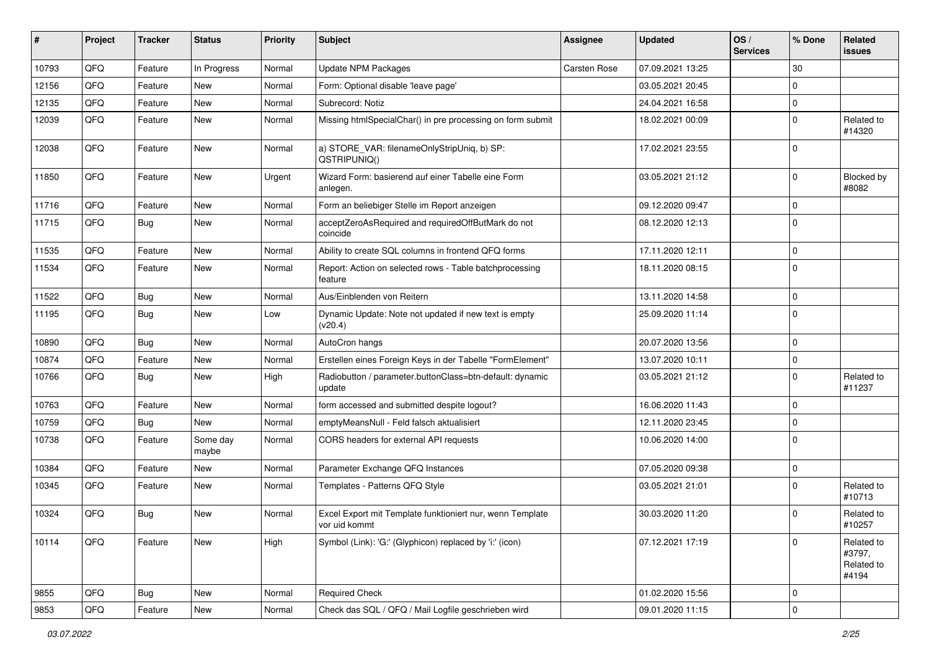| #     | Project | <b>Tracker</b> | <b>Status</b>     | <b>Priority</b> | Subject                                                                    | <b>Assignee</b> | <b>Updated</b>   | OS/<br><b>Services</b> | % Done      | Related<br>issues                           |
|-------|---------|----------------|-------------------|-----------------|----------------------------------------------------------------------------|-----------------|------------------|------------------------|-------------|---------------------------------------------|
| 10793 | QFQ     | Feature        | In Progress       | Normal          | Update NPM Packages                                                        | Carsten Rose    | 07.09.2021 13:25 |                        | 30          |                                             |
| 12156 | QFQ     | Feature        | New               | Normal          | Form: Optional disable 'leave page'                                        |                 | 03.05.2021 20:45 |                        | $\mathbf 0$ |                                             |
| 12135 | QFQ     | Feature        | <b>New</b>        | Normal          | Subrecord: Notiz                                                           |                 | 24.04.2021 16:58 |                        | $\mathbf 0$ |                                             |
| 12039 | QFQ     | Feature        | New               | Normal          | Missing htmlSpecialChar() in pre processing on form submit                 |                 | 18.02.2021 00:09 |                        | $\Omega$    | Related to<br>#14320                        |
| 12038 | QFQ     | Feature        | <b>New</b>        | Normal          | a) STORE_VAR: filenameOnlyStripUniq, b) SP:<br>QSTRIPUNIQ()                |                 | 17.02.2021 23:55 |                        | $\Omega$    |                                             |
| 11850 | QFQ     | Feature        | New               | Urgent          | Wizard Form: basierend auf einer Tabelle eine Form<br>anlegen.             |                 | 03.05.2021 21:12 |                        | $\Omega$    | Blocked by<br>#8082                         |
| 11716 | QFQ     | Feature        | <b>New</b>        | Normal          | Form an beliebiger Stelle im Report anzeigen                               |                 | 09.12.2020 09:47 |                        | $\mathbf 0$ |                                             |
| 11715 | QFQ     | Bug            | New               | Normal          | acceptZeroAsRequired and requiredOffButMark do not<br>coincide             |                 | 08.12.2020 12:13 |                        | $\Omega$    |                                             |
| 11535 | QFQ     | Feature        | New               | Normal          | Ability to create SQL columns in frontend QFQ forms                        |                 | 17.11.2020 12:11 |                        | $\mathbf 0$ |                                             |
| 11534 | QFQ     | Feature        | New               | Normal          | Report: Action on selected rows - Table batchprocessing<br>feature         |                 | 18.11.2020 08:15 |                        | l 0         |                                             |
| 11522 | QFQ     | Bug            | New               | Normal          | Aus/Einblenden von Reitern                                                 |                 | 13.11.2020 14:58 |                        | $\Omega$    |                                             |
| 11195 | QFQ     | Bug            | <b>New</b>        | Low             | Dynamic Update: Note not updated if new text is empty<br>(v20.4)           |                 | 25.09.2020 11:14 |                        | $\Omega$    |                                             |
| 10890 | QFQ     | Bug            | <b>New</b>        | Normal          | AutoCron hangs                                                             |                 | 20.07.2020 13:56 |                        | $\Omega$    |                                             |
| 10874 | QFQ     | Feature        | <b>New</b>        | Normal          | Erstellen eines Foreign Keys in der Tabelle "FormElement"                  |                 | 13.07.2020 10:11 |                        | $\mathbf 0$ |                                             |
| 10766 | QFQ     | Bug            | New               | High            | Radiobutton / parameter.buttonClass=btn-default: dynamic<br>update         |                 | 03.05.2021 21:12 |                        | $\Omega$    | Related to<br>#11237                        |
| 10763 | QFQ     | Feature        | <b>New</b>        | Normal          | form accessed and submitted despite logout?                                |                 | 16.06.2020 11:43 |                        | $\mathbf 0$ |                                             |
| 10759 | QFQ     | Bug            | New               | Normal          | emptyMeansNull - Feld falsch aktualisiert                                  |                 | 12.11.2020 23:45 |                        | $\Omega$    |                                             |
| 10738 | QFQ     | Feature        | Some day<br>maybe | Normal          | CORS headers for external API requests                                     |                 | 10.06.2020 14:00 |                        | $\mathbf 0$ |                                             |
| 10384 | QFQ     | Feature        | New               | Normal          | Parameter Exchange QFQ Instances                                           |                 | 07.05.2020 09:38 |                        | $\mathbf 0$ |                                             |
| 10345 | QFQ     | Feature        | New               | Normal          | Templates - Patterns QFQ Style                                             |                 | 03.05.2021 21:01 |                        | $\Omega$    | Related to<br>#10713                        |
| 10324 | QFQ     | Bug            | <b>New</b>        | Normal          | Excel Export mit Template funktioniert nur, wenn Template<br>vor uid kommt |                 | 30.03.2020 11:20 |                        | $\Omega$    | Related to<br>#10257                        |
| 10114 | QFQ     | Feature        | New               | High            | Symbol (Link): 'G:' (Glyphicon) replaced by 'i:' (icon)                    |                 | 07.12.2021 17:19 |                        | $\Omega$    | Related to<br>#3797,<br>Related to<br>#4194 |
| 9855  | QFQ     | <b>Bug</b>     | New               | Normal          | <b>Required Check</b>                                                      |                 | 01.02.2020 15:56 |                        | 0           |                                             |
| 9853  | QFQ     | Feature        | New               | Normal          | Check das SQL / QFQ / Mail Logfile geschrieben wird                        |                 | 09.01.2020 11:15 |                        | 0           |                                             |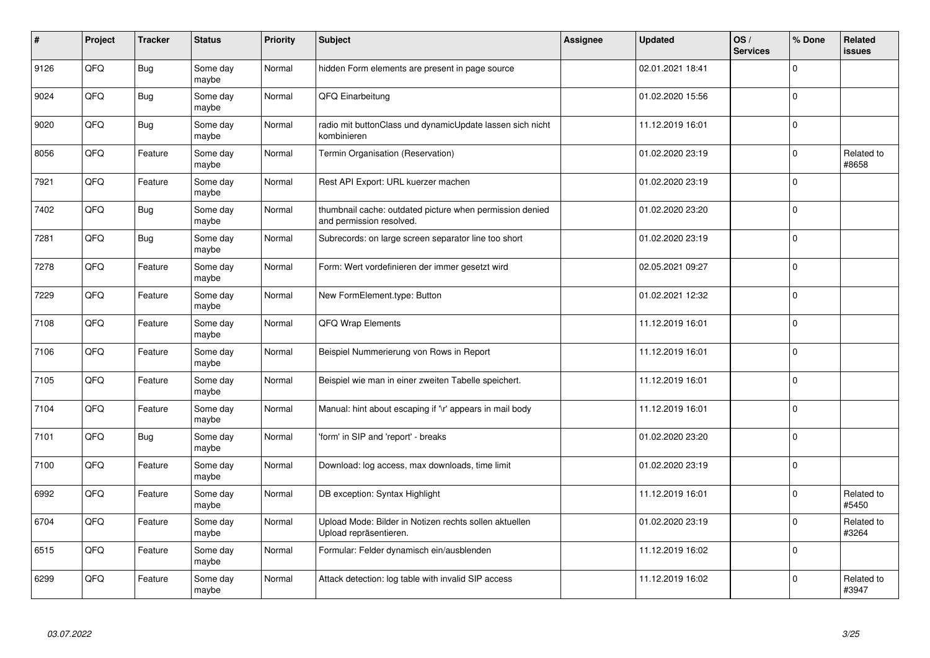| #    | Project | <b>Tracker</b> | <b>Status</b>     | <b>Priority</b> | <b>Subject</b>                                                                       | <b>Assignee</b> | <b>Updated</b>   | OS/<br><b>Services</b> | % Done       | Related<br>issues   |
|------|---------|----------------|-------------------|-----------------|--------------------------------------------------------------------------------------|-----------------|------------------|------------------------|--------------|---------------------|
| 9126 | QFQ     | Bug            | Some day<br>maybe | Normal          | hidden Form elements are present in page source                                      |                 | 02.01.2021 18:41 |                        | $\Omega$     |                     |
| 9024 | QFQ     | Bug            | Some day<br>maybe | Normal          | QFQ Einarbeitung                                                                     |                 | 01.02.2020 15:56 |                        | $\Omega$     |                     |
| 9020 | QFQ     | Bug            | Some day<br>maybe | Normal          | radio mit buttonClass und dynamicUpdate lassen sich nicht<br>kombinieren             |                 | 11.12.2019 16:01 |                        | $\Omega$     |                     |
| 8056 | QFQ     | Feature        | Some day<br>maybe | Normal          | Termin Organisation (Reservation)                                                    |                 | 01.02.2020 23:19 |                        | $\Omega$     | Related to<br>#8658 |
| 7921 | QFQ     | Feature        | Some day<br>maybe | Normal          | Rest API Export: URL kuerzer machen                                                  |                 | 01.02.2020 23:19 |                        | $\mathbf{0}$ |                     |
| 7402 | QFQ     | Bug            | Some day<br>maybe | Normal          | thumbnail cache: outdated picture when permission denied<br>and permission resolved. |                 | 01.02.2020 23:20 |                        | $\Omega$     |                     |
| 7281 | QFQ     | <b>Bug</b>     | Some day<br>maybe | Normal          | Subrecords: on large screen separator line too short                                 |                 | 01.02.2020 23:19 |                        | $\Omega$     |                     |
| 7278 | QFQ     | Feature        | Some day<br>maybe | Normal          | Form: Wert vordefinieren der immer gesetzt wird                                      |                 | 02.05.2021 09:27 |                        | $\Omega$     |                     |
| 7229 | QFQ     | Feature        | Some day<br>maybe | Normal          | New FormElement.type: Button                                                         |                 | 01.02.2021 12:32 |                        | $\Omega$     |                     |
| 7108 | QFQ     | Feature        | Some day<br>maybe | Normal          | <b>QFQ Wrap Elements</b>                                                             |                 | 11.12.2019 16:01 |                        | $\Omega$     |                     |
| 7106 | QFQ     | Feature        | Some day<br>maybe | Normal          | Beispiel Nummerierung von Rows in Report                                             |                 | 11.12.2019 16:01 |                        | $\Omega$     |                     |
| 7105 | QFQ     | Feature        | Some day<br>maybe | Normal          | Beispiel wie man in einer zweiten Tabelle speichert.                                 |                 | 11.12.2019 16:01 |                        | $\mathbf 0$  |                     |
| 7104 | QFQ     | Feature        | Some day<br>maybe | Normal          | Manual: hint about escaping if '\r' appears in mail body                             |                 | 11.12.2019 16:01 |                        | $\Omega$     |                     |
| 7101 | QFQ     | Bug            | Some day<br>maybe | Normal          | 'form' in SIP and 'report' - breaks                                                  |                 | 01.02.2020 23:20 |                        | $\mathbf 0$  |                     |
| 7100 | QFQ     | Feature        | Some day<br>maybe | Normal          | Download: log access, max downloads, time limit                                      |                 | 01.02.2020 23:19 |                        | $\Omega$     |                     |
| 6992 | QFQ     | Feature        | Some day<br>maybe | Normal          | DB exception: Syntax Highlight                                                       |                 | 11.12.2019 16:01 |                        | $\Omega$     | Related to<br>#5450 |
| 6704 | QFQ     | Feature        | Some day<br>maybe | Normal          | Upload Mode: Bilder in Notizen rechts sollen aktuellen<br>Upload repräsentieren.     |                 | 01.02.2020 23:19 |                        | $\Omega$     | Related to<br>#3264 |
| 6515 | QFQ     | Feature        | Some day<br>maybe | Normal          | Formular: Felder dynamisch ein/ausblenden                                            |                 | 11.12.2019 16:02 |                        | $\mathbf 0$  |                     |
| 6299 | QFQ     | Feature        | Some day<br>maybe | Normal          | Attack detection: log table with invalid SIP access                                  |                 | 11.12.2019 16:02 |                        | $\Omega$     | Related to<br>#3947 |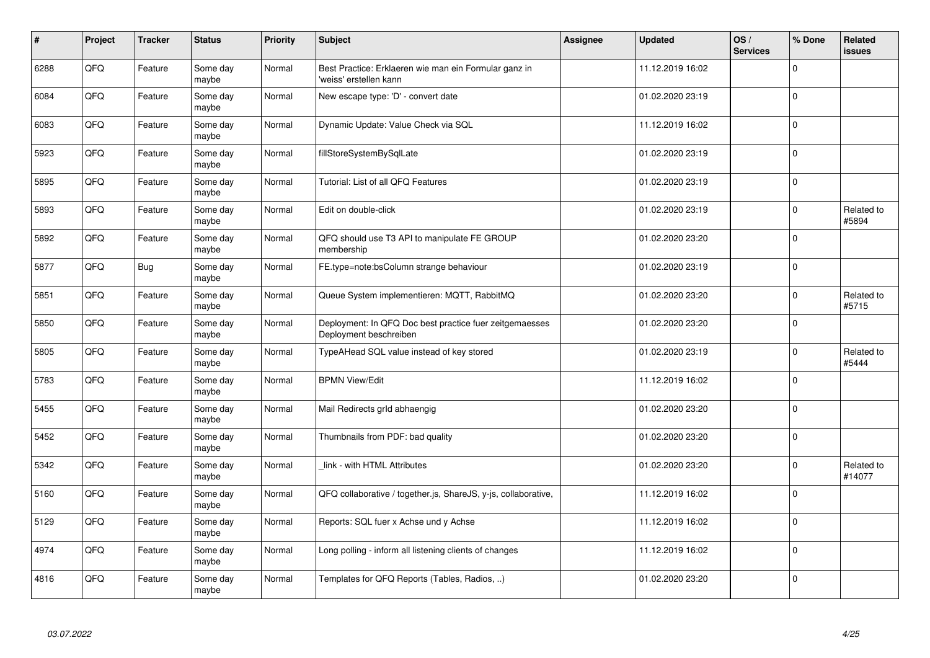| $\vert$ # | Project | <b>Tracker</b> | <b>Status</b>     | <b>Priority</b> | <b>Subject</b>                                                                    | Assignee | <b>Updated</b>   | OS/<br><b>Services</b> | % Done      | Related<br><b>issues</b> |
|-----------|---------|----------------|-------------------|-----------------|-----------------------------------------------------------------------------------|----------|------------------|------------------------|-------------|--------------------------|
| 6288      | QFQ     | Feature        | Some day<br>maybe | Normal          | Best Practice: Erklaeren wie man ein Formular ganz in<br>'weiss' erstellen kann   |          | 11.12.2019 16:02 |                        | $\Omega$    |                          |
| 6084      | QFQ     | Feature        | Some day<br>maybe | Normal          | New escape type: 'D' - convert date                                               |          | 01.02.2020 23:19 |                        | $\Omega$    |                          |
| 6083      | QFQ     | Feature        | Some day<br>maybe | Normal          | Dynamic Update: Value Check via SQL                                               |          | 11.12.2019 16:02 |                        | $\Omega$    |                          |
| 5923      | QFQ     | Feature        | Some day<br>maybe | Normal          | fillStoreSystemBySqlLate                                                          |          | 01.02.2020 23:19 |                        | $\Omega$    |                          |
| 5895      | QFQ     | Feature        | Some day<br>maybe | Normal          | Tutorial: List of all QFQ Features                                                |          | 01.02.2020 23:19 |                        | $\Omega$    |                          |
| 5893      | QFQ     | Feature        | Some day<br>maybe | Normal          | Edit on double-click                                                              |          | 01.02.2020 23:19 |                        | $\Omega$    | Related to<br>#5894      |
| 5892      | QFQ     | Feature        | Some day<br>maybe | Normal          | QFQ should use T3 API to manipulate FE GROUP<br>membership                        |          | 01.02.2020 23:20 |                        | 0           |                          |
| 5877      | QFQ     | <b>Bug</b>     | Some day<br>maybe | Normal          | FE.type=note:bsColumn strange behaviour                                           |          | 01.02.2020 23:19 |                        | $\Omega$    |                          |
| 5851      | QFQ     | Feature        | Some day<br>maybe | Normal          | Queue System implementieren: MQTT, RabbitMQ                                       |          | 01.02.2020 23:20 |                        | $\Omega$    | Related to<br>#5715      |
| 5850      | QFQ     | Feature        | Some day<br>maybe | Normal          | Deployment: In QFQ Doc best practice fuer zeitgemaesses<br>Deployment beschreiben |          | 01.02.2020 23:20 |                        | $\mathbf 0$ |                          |
| 5805      | QFQ     | Feature        | Some day<br>maybe | Normal          | TypeAHead SQL value instead of key stored                                         |          | 01.02.2020 23:19 |                        | $\Omega$    | Related to<br>#5444      |
| 5783      | QFQ     | Feature        | Some day<br>maybe | Normal          | <b>BPMN View/Edit</b>                                                             |          | 11.12.2019 16:02 |                        | $\Omega$    |                          |
| 5455      | QFQ     | Feature        | Some day<br>maybe | Normal          | Mail Redirects grld abhaengig                                                     |          | 01.02.2020 23:20 |                        | $\mathbf 0$ |                          |
| 5452      | QFQ     | Feature        | Some day<br>maybe | Normal          | Thumbnails from PDF: bad quality                                                  |          | 01.02.2020 23:20 |                        | 0           |                          |
| 5342      | QFQ     | Feature        | Some day<br>maybe | Normal          | link - with HTML Attributes                                                       |          | 01.02.2020 23:20 |                        | $\Omega$    | Related to<br>#14077     |
| 5160      | QFQ     | Feature        | Some day<br>maybe | Normal          | QFQ collaborative / together.js, ShareJS, y-js, collaborative,                    |          | 11.12.2019 16:02 |                        | $\Omega$    |                          |
| 5129      | QFQ     | Feature        | Some day<br>maybe | Normal          | Reports: SQL fuer x Achse und y Achse                                             |          | 11.12.2019 16:02 |                        | $\Omega$    |                          |
| 4974      | QFQ     | Feature        | Some day<br>maybe | Normal          | Long polling - inform all listening clients of changes                            |          | 11.12.2019 16:02 |                        | 0           |                          |
| 4816      | QFQ     | Feature        | Some day<br>maybe | Normal          | Templates for QFQ Reports (Tables, Radios, )                                      |          | 01.02.2020 23:20 |                        | $\Omega$    |                          |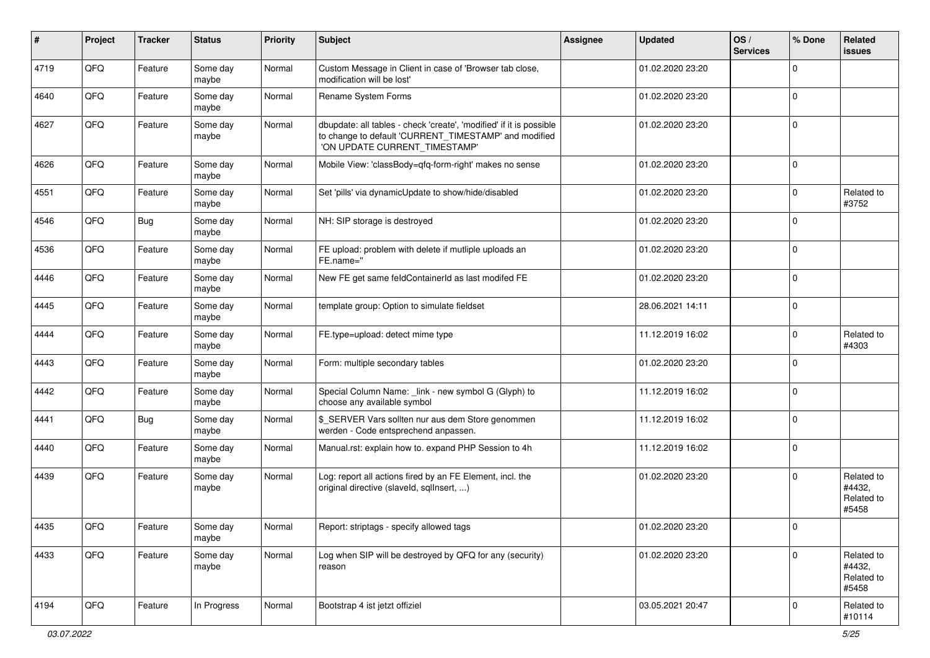| #    | Project | <b>Tracker</b> | <b>Status</b>     | <b>Priority</b> | <b>Subject</b>                                                                                                                                                | <b>Assignee</b> | <b>Updated</b>   | OS/<br><b>Services</b> | % Done      | Related<br>issues                           |
|------|---------|----------------|-------------------|-----------------|---------------------------------------------------------------------------------------------------------------------------------------------------------------|-----------------|------------------|------------------------|-------------|---------------------------------------------|
| 4719 | QFQ     | Feature        | Some day<br>maybe | Normal          | Custom Message in Client in case of 'Browser tab close,<br>modification will be lost'                                                                         |                 | 01.02.2020 23:20 |                        | $\Omega$    |                                             |
| 4640 | QFQ     | Feature        | Some day<br>maybe | Normal          | Rename System Forms                                                                                                                                           |                 | 01.02.2020 23:20 |                        | $\mathbf 0$ |                                             |
| 4627 | QFQ     | Feature        | Some day<br>maybe | Normal          | dbupdate: all tables - check 'create', 'modified' if it is possible<br>to change to default 'CURRENT_TIMESTAMP' and modified<br>'ON UPDATE CURRENT_TIMESTAMP' |                 | 01.02.2020 23:20 |                        | $\Omega$    |                                             |
| 4626 | QFQ     | Feature        | Some day<br>maybe | Normal          | Mobile View: 'classBody=qfq-form-right' makes no sense                                                                                                        |                 | 01.02.2020 23:20 |                        | $\mathbf 0$ |                                             |
| 4551 | QFQ     | Feature        | Some day<br>maybe | Normal          | Set 'pills' via dynamicUpdate to show/hide/disabled                                                                                                           |                 | 01.02.2020 23:20 |                        | $\mathbf 0$ | Related to<br>#3752                         |
| 4546 | QFQ     | Bug            | Some day<br>maybe | Normal          | NH: SIP storage is destroyed                                                                                                                                  |                 | 01.02.2020 23:20 |                        | $\Omega$    |                                             |
| 4536 | QFQ     | Feature        | Some day<br>maybe | Normal          | FE upload: problem with delete if mutliple uploads an<br>FE.name="                                                                                            |                 | 01.02.2020 23:20 |                        | $\Omega$    |                                             |
| 4446 | QFQ     | Feature        | Some day<br>maybe | Normal          | New FE get same feldContainerId as last modifed FE                                                                                                            |                 | 01.02.2020 23:20 |                        | $\mathbf 0$ |                                             |
| 4445 | QFQ     | Feature        | Some day<br>maybe | Normal          | template group: Option to simulate fieldset                                                                                                                   |                 | 28.06.2021 14:11 |                        | $\Omega$    |                                             |
| 4444 | QFQ     | Feature        | Some day<br>maybe | Normal          | FE.type=upload: detect mime type                                                                                                                              |                 | 11.12.2019 16:02 |                        | $\mathbf 0$ | Related to<br>#4303                         |
| 4443 | QFQ     | Feature        | Some day<br>maybe | Normal          | Form: multiple secondary tables                                                                                                                               |                 | 01.02.2020 23:20 |                        | $\Omega$    |                                             |
| 4442 | QFQ     | Feature        | Some day<br>maybe | Normal          | Special Column Name: _link - new symbol G (Glyph) to<br>choose any available symbol                                                                           |                 | 11.12.2019 16:02 |                        | $\mathbf 0$ |                                             |
| 4441 | QFQ     | <b>Bug</b>     | Some day<br>maybe | Normal          | \$_SERVER Vars sollten nur aus dem Store genommen<br>werden - Code entsprechend anpassen.                                                                     |                 | 11.12.2019 16:02 |                        | $\mathbf 0$ |                                             |
| 4440 | QFQ     | Feature        | Some day<br>maybe | Normal          | Manual.rst: explain how to. expand PHP Session to 4h                                                                                                          |                 | 11.12.2019 16:02 |                        | $\mathbf 0$ |                                             |
| 4439 | QFQ     | Feature        | Some day<br>maybe | Normal          | Log: report all actions fired by an FE Element, incl. the<br>original directive (slaveld, sqllnsert, )                                                        |                 | 01.02.2020 23:20 |                        | $\mathbf 0$ | Related to<br>#4432,<br>Related to<br>#5458 |
| 4435 | QFQ     | Feature        | Some day<br>maybe | Normal          | Report: striptags - specify allowed tags                                                                                                                      |                 | 01.02.2020 23:20 |                        | U           |                                             |
| 4433 | QFQ     | Feature        | Some day<br>maybe | Normal          | Log when SIP will be destroyed by QFQ for any (security)<br>reason                                                                                            |                 | 01.02.2020 23:20 |                        | $\mathbf 0$ | Related to<br>#4432,<br>Related to<br>#5458 |
| 4194 | QFQ     | Feature        | In Progress       | Normal          | Bootstrap 4 ist jetzt offiziel                                                                                                                                |                 | 03.05.2021 20:47 |                        | 0           | Related to<br>#10114                        |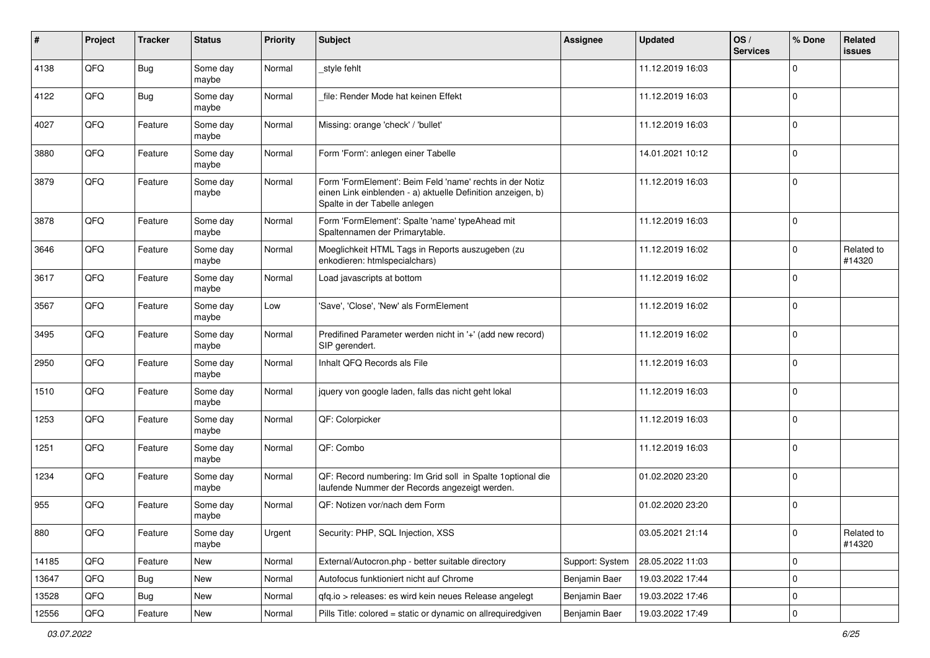| $\vert$ # | Project | <b>Tracker</b> | <b>Status</b>     | <b>Priority</b> | <b>Subject</b>                                                                                                                                           | <b>Assignee</b> | <b>Updated</b>   | OS/<br><b>Services</b> | % Done              | Related<br>issues    |
|-----------|---------|----------------|-------------------|-----------------|----------------------------------------------------------------------------------------------------------------------------------------------------------|-----------------|------------------|------------------------|---------------------|----------------------|
| 4138      | QFQ     | Bug            | Some day<br>maybe | Normal          | _style fehlt                                                                                                                                             |                 | 11.12.2019 16:03 |                        | $\mathbf 0$         |                      |
| 4122      | QFQ     | <b>Bug</b>     | Some day<br>maybe | Normal          | file: Render Mode hat keinen Effekt                                                                                                                      |                 | 11.12.2019 16:03 |                        | $\mathbf 0$         |                      |
| 4027      | QFQ     | Feature        | Some day<br>maybe | Normal          | Missing: orange 'check' / 'bullet'                                                                                                                       |                 | 11.12.2019 16:03 |                        | $\mathbf 0$         |                      |
| 3880      | QFQ     | Feature        | Some day<br>maybe | Normal          | Form 'Form': anlegen einer Tabelle                                                                                                                       |                 | 14.01.2021 10:12 |                        | $\mathbf 0$         |                      |
| 3879      | QFQ     | Feature        | Some day<br>maybe | Normal          | Form 'FormElement': Beim Feld 'name' rechts in der Notiz<br>einen Link einblenden - a) aktuelle Definition anzeigen, b)<br>Spalte in der Tabelle anlegen |                 | 11.12.2019 16:03 |                        | $\mathbf 0$         |                      |
| 3878      | QFQ     | Feature        | Some day<br>maybe | Normal          | Form 'FormElement': Spalte 'name' typeAhead mit<br>Spaltennamen der Primarytable.                                                                        |                 | 11.12.2019 16:03 |                        | $\mathbf 0$         |                      |
| 3646      | QFQ     | Feature        | Some day<br>maybe | Normal          | Moeglichkeit HTML Tags in Reports auszugeben (zu<br>enkodieren: htmlspecialchars)                                                                        |                 | 11.12.2019 16:02 |                        | $\mathbf 0$         | Related to<br>#14320 |
| 3617      | QFQ     | Feature        | Some day<br>maybe | Normal          | Load javascripts at bottom                                                                                                                               |                 | 11.12.2019 16:02 |                        | $\mathbf 0$         |                      |
| 3567      | QFQ     | Feature        | Some day<br>maybe | Low             | 'Save', 'Close', 'New' als FormElement                                                                                                                   |                 | 11.12.2019 16:02 |                        | $\mathbf 0$         |                      |
| 3495      | QFQ     | Feature        | Some day<br>maybe | Normal          | Predifined Parameter werden nicht in '+' (add new record)<br>SIP gerendert.                                                                              |                 | 11.12.2019 16:02 |                        | $\mathbf 0$         |                      |
| 2950      | QFQ     | Feature        | Some day<br>maybe | Normal          | Inhalt QFQ Records als File                                                                                                                              |                 | 11.12.2019 16:03 |                        | $\mathbf 0$         |                      |
| 1510      | QFQ     | Feature        | Some day<br>maybe | Normal          | jquery von google laden, falls das nicht geht lokal                                                                                                      |                 | 11.12.2019 16:03 |                        | $\Omega$            |                      |
| 1253      | QFQ     | Feature        | Some day<br>maybe | Normal          | QF: Colorpicker                                                                                                                                          |                 | 11.12.2019 16:03 |                        | $\mathbf 0$         |                      |
| 1251      | QFQ     | Feature        | Some day<br>maybe | Normal          | QF: Combo                                                                                                                                                |                 | 11.12.2019 16:03 |                        | $\Omega$            |                      |
| 1234      | QFQ     | Feature        | Some day<br>maybe | Normal          | QF: Record numbering: Im Grid soll in Spalte 1 optional die<br>laufende Nummer der Records angezeigt werden.                                             |                 | 01.02.2020 23:20 |                        | $\mathbf 0$         |                      |
| 955       | QFQ     | Feature        | Some day<br>maybe | Normal          | QF: Notizen vor/nach dem Form                                                                                                                            |                 | 01.02.2020 23:20 |                        | $\mathbf 0$         |                      |
| 880       | QFQ     | Feature        | Some day<br>maybe | Urgent          | Security: PHP, SQL Injection, XSS                                                                                                                        |                 | 03.05.2021 21:14 |                        | 0                   | Related to<br>#14320 |
| 14185     | QFG     | Feature        | New               | Normal          | External/Autocron.php - better suitable directory                                                                                                        | Support: System | 28.05.2022 11:03 |                        | $\mathsf{O}\xspace$ |                      |
| 13647     | QFQ     | Bug            | New               | Normal          | Autofocus funktioniert nicht auf Chrome                                                                                                                  | Benjamin Baer   | 19.03.2022 17:44 |                        | 0                   |                      |
| 13528     | QFQ     | <b>Bug</b>     | New               | Normal          | qfq.io > releases: es wird kein neues Release angelegt                                                                                                   | Benjamin Baer   | 19.03.2022 17:46 |                        | 0                   |                      |
| 12556     | QFQ     | Feature        | New               | Normal          | Pills Title: colored = static or dynamic on allrequiredgiven                                                                                             | Benjamin Baer   | 19.03.2022 17:49 |                        | 0                   |                      |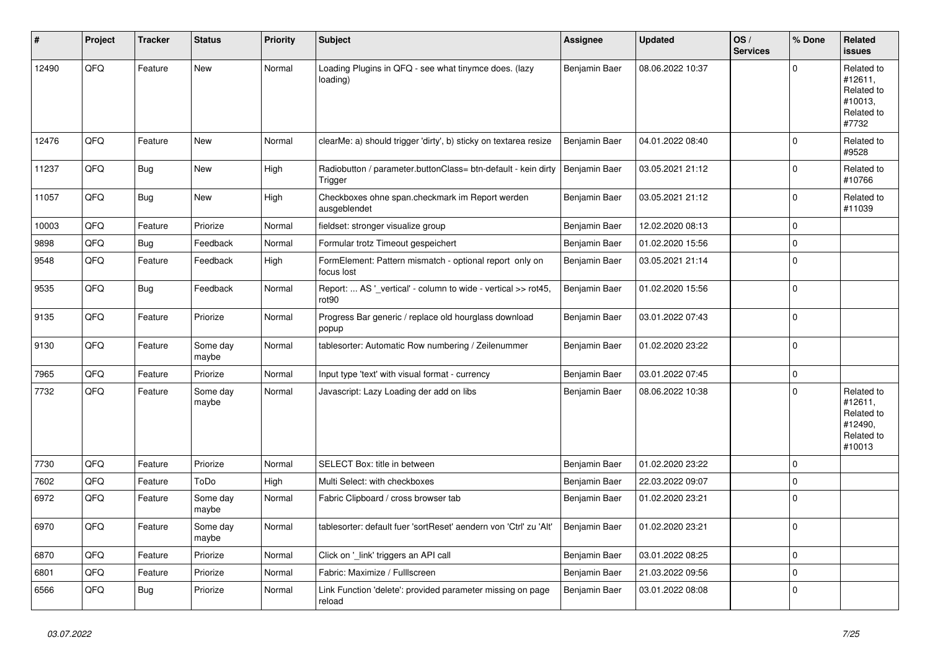| #     | Project | <b>Tracker</b> | <b>Status</b>     | <b>Priority</b> | <b>Subject</b>                                                           | Assignee      | <b>Updated</b>   | OS/<br><b>Services</b> | % Done      | Related<br><b>issues</b>                                               |
|-------|---------|----------------|-------------------|-----------------|--------------------------------------------------------------------------|---------------|------------------|------------------------|-------------|------------------------------------------------------------------------|
| 12490 | QFQ     | Feature        | <b>New</b>        | Normal          | Loading Plugins in QFQ - see what tinymce does. (lazy<br>loading)        | Benjamin Baer | 08.06.2022 10:37 |                        | $\Omega$    | Related to<br>#12611,<br>Related to<br>#10013,<br>Related to<br>#7732  |
| 12476 | QFQ     | Feature        | <b>New</b>        | Normal          | clearMe: a) should trigger 'dirty', b) sticky on textarea resize         | Benjamin Baer | 04.01.2022 08:40 |                        | $\Omega$    | Related to<br>#9528                                                    |
| 11237 | QFQ     | Bug            | <b>New</b>        | High            | Radiobutton / parameter.buttonClass= btn-default - kein dirty<br>Trigger | Benjamin Baer | 03.05.2021 21:12 |                        | $\Omega$    | Related to<br>#10766                                                   |
| 11057 | QFQ     | <b>Bug</b>     | <b>New</b>        | High            | Checkboxes ohne span.checkmark im Report werden<br>ausgeblendet          | Benjamin Baer | 03.05.2021 21:12 |                        | $\Omega$    | Related to<br>#11039                                                   |
| 10003 | QFQ     | Feature        | Priorize          | Normal          | fieldset: stronger visualize group                                       | Benjamin Baer | 12.02.2020 08:13 |                        | $\mathbf 0$ |                                                                        |
| 9898  | QFQ     | <b>Bug</b>     | Feedback          | Normal          | Formular trotz Timeout gespeichert                                       | Benjamin Baer | 01.02.2020 15:56 |                        | $\mathbf 0$ |                                                                        |
| 9548  | QFQ     | Feature        | Feedback          | High            | FormElement: Pattern mismatch - optional report only on<br>focus lost    | Benjamin Baer | 03.05.2021 21:14 |                        | $\mathbf 0$ |                                                                        |
| 9535  | QFQ     | <b>Bug</b>     | Feedback          | Normal          | Report:  AS '_vertical' - column to wide - vertical >> rot45,<br>rot90   | Benjamin Baer | 01.02.2020 15:56 |                        | $\Omega$    |                                                                        |
| 9135  | QFQ     | Feature        | Priorize          | Normal          | Progress Bar generic / replace old hourglass download<br>popup           | Benjamin Baer | 03.01.2022 07:43 |                        | $\Omega$    |                                                                        |
| 9130  | QFQ     | Feature        | Some day<br>maybe | Normal          | tablesorter: Automatic Row numbering / Zeilenummer                       | Benjamin Baer | 01.02.2020 23:22 |                        | $\mathbf 0$ |                                                                        |
| 7965  | QFQ     | Feature        | Priorize          | Normal          | Input type 'text' with visual format - currency                          | Benjamin Baer | 03.01.2022 07:45 |                        | $\pmb{0}$   |                                                                        |
| 7732  | QFQ     | Feature        | Some day<br>maybe | Normal          | Javascript: Lazy Loading der add on libs                                 | Benjamin Baer | 08.06.2022 10:38 |                        | $\Omega$    | Related to<br>#12611,<br>Related to<br>#12490,<br>Related to<br>#10013 |
| 7730  | QFQ     | Feature        | Priorize          | Normal          | SELECT Box: title in between                                             | Benjamin Baer | 01.02.2020 23:22 |                        | $\mathbf 0$ |                                                                        |
| 7602  | QFQ     | Feature        | ToDo              | High            | Multi Select: with checkboxes                                            | Benjamin Baer | 22.03.2022 09:07 |                        | $\Omega$    |                                                                        |
| 6972  | QFQ     | Feature        | Some day<br>maybe | Normal          | Fabric Clipboard / cross browser tab                                     | Benjamin Baer | 01.02.2020 23:21 |                        | $\Omega$    |                                                                        |
| 6970  | QFQ     | Feature        | Some day<br>maybe | Normal          | tablesorter: default fuer 'sortReset' aendern von 'Ctrl' zu 'Alt'        | Benjamin Baer | 01.02.2020 23:21 |                        | $\Omega$    |                                                                        |
| 6870  | QFQ     | Feature        | Priorize          | Normal          | Click on '_link' triggers an API call                                    | Benjamin Baer | 03.01.2022 08:25 |                        | $\mathbf 0$ |                                                                        |
| 6801  | QFQ     | Feature        | Priorize          | Normal          | Fabric: Maximize / FullIscreen                                           | Benjamin Baer | 21.03.2022 09:56 |                        | $\mathbf 0$ |                                                                        |
| 6566  | QFQ     | Bug            | Priorize          | Normal          | Link Function 'delete': provided parameter missing on page<br>reload     | Benjamin Baer | 03.01.2022 08:08 |                        | $\Omega$    |                                                                        |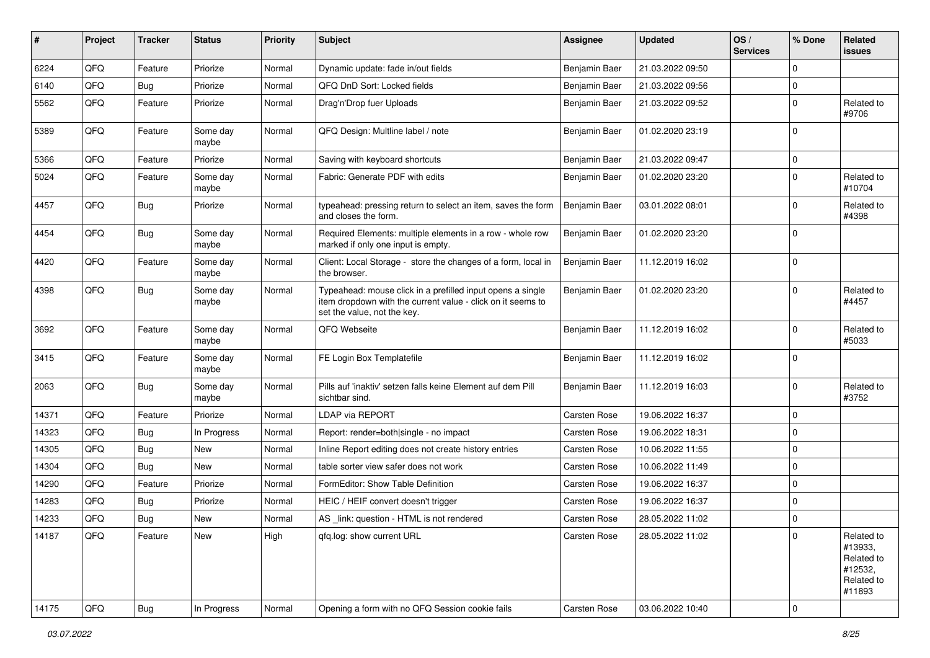| #     | Project | <b>Tracker</b> | <b>Status</b>     | <b>Priority</b> | <b>Subject</b>                                                                                                                                           | <b>Assignee</b> | <b>Updated</b>   | OS/<br><b>Services</b> | % Done      | Related<br>issues                                                      |
|-------|---------|----------------|-------------------|-----------------|----------------------------------------------------------------------------------------------------------------------------------------------------------|-----------------|------------------|------------------------|-------------|------------------------------------------------------------------------|
| 6224  | QFQ     | Feature        | Priorize          | Normal          | Dynamic update: fade in/out fields                                                                                                                       | Benjamin Baer   | 21.03.2022 09:50 |                        | $\mathbf 0$ |                                                                        |
| 6140  | QFQ     | Bug            | Priorize          | Normal          | QFQ DnD Sort: Locked fields                                                                                                                              | Benjamin Baer   | 21.03.2022 09:56 |                        | 0           |                                                                        |
| 5562  | QFQ     | Feature        | Priorize          | Normal          | Drag'n'Drop fuer Uploads                                                                                                                                 | Benjamin Baer   | 21.03.2022 09:52 |                        | $\mathbf 0$ | Related to<br>#9706                                                    |
| 5389  | QFQ     | Feature        | Some day<br>maybe | Normal          | QFQ Design: Multline label / note                                                                                                                        | Benjamin Baer   | 01.02.2020 23:19 |                        | $\Omega$    |                                                                        |
| 5366  | QFQ     | Feature        | Priorize          | Normal          | Saving with keyboard shortcuts                                                                                                                           | Benjamin Baer   | 21.03.2022 09:47 |                        | $\mathbf 0$ |                                                                        |
| 5024  | QFQ     | Feature        | Some day<br>maybe | Normal          | Fabric: Generate PDF with edits                                                                                                                          | Benjamin Baer   | 01.02.2020 23:20 |                        | $\Omega$    | Related to<br>#10704                                                   |
| 4457  | QFQ     | Bug            | Priorize          | Normal          | typeahead: pressing return to select an item, saves the form<br>and closes the form.                                                                     | Benjamin Baer   | 03.01.2022 08:01 |                        | 0           | Related to<br>#4398                                                    |
| 4454  | QFQ     | <b>Bug</b>     | Some day<br>maybe | Normal          | Required Elements: multiple elements in a row - whole row<br>marked if only one input is empty.                                                          | Benjamin Baer   | 01.02.2020 23:20 |                        | $\mathbf 0$ |                                                                        |
| 4420  | QFQ     | Feature        | Some day<br>maybe | Normal          | Client: Local Storage - store the changes of a form, local in<br>the browser.                                                                            | Benjamin Baer   | 11.12.2019 16:02 |                        | $\mathbf 0$ |                                                                        |
| 4398  | QFQ     | <b>Bug</b>     | Some day<br>maybe | Normal          | Typeahead: mouse click in a prefilled input opens a single<br>item dropdown with the current value - click on it seems to<br>set the value, not the key. | Benjamin Baer   | 01.02.2020 23:20 |                        | $\Omega$    | Related to<br>#4457                                                    |
| 3692  | QFQ     | Feature        | Some day<br>maybe | Normal          | QFQ Webseite                                                                                                                                             | Benjamin Baer   | 11.12.2019 16:02 |                        | $\Omega$    | Related to<br>#5033                                                    |
| 3415  | QFQ     | Feature        | Some day<br>maybe | Normal          | FE Login Box Templatefile                                                                                                                                | Benjamin Baer   | 11.12.2019 16:02 |                        | $\mathbf 0$ |                                                                        |
| 2063  | QFQ     | <b>Bug</b>     | Some day<br>maybe | Normal          | Pills auf 'inaktiv' setzen falls keine Element auf dem Pill<br>sichtbar sind.                                                                            | Benjamin Baer   | 11.12.2019 16:03 |                        | $\mathbf 0$ | Related to<br>#3752                                                    |
| 14371 | QFQ     | Feature        | Priorize          | Normal          | <b>LDAP via REPORT</b>                                                                                                                                   | Carsten Rose    | 19.06.2022 16:37 |                        | $\mathbf 0$ |                                                                        |
| 14323 | QFQ     | <b>Bug</b>     | In Progress       | Normal          | Report: render=both single - no impact                                                                                                                   | Carsten Rose    | 19.06.2022 18:31 |                        | $\mathbf 0$ |                                                                        |
| 14305 | QFQ     | Bug            | New               | Normal          | Inline Report editing does not create history entries                                                                                                    | Carsten Rose    | 10.06.2022 11:55 |                        | $\mathbf 0$ |                                                                        |
| 14304 | QFQ     | <b>Bug</b>     | <b>New</b>        | Normal          | table sorter view safer does not work                                                                                                                    | Carsten Rose    | 10.06.2022 11:49 |                        | 0           |                                                                        |
| 14290 | QFQ     | Feature        | Priorize          | Normal          | FormEditor: Show Table Definition                                                                                                                        | Carsten Rose    | 19.06.2022 16:37 |                        | 0           |                                                                        |
| 14283 | QFQ     | Bug            | Priorize          | Normal          | HEIC / HEIF convert doesn't trigger                                                                                                                      | Carsten Rose    | 19.06.2022 16:37 |                        | $\mathbf 0$ |                                                                        |
| 14233 | QFQ     | <b>Bug</b>     | New               | Normal          | AS link: question - HTML is not rendered                                                                                                                 | Carsten Rose    | 28.05.2022 11:02 |                        | 0           |                                                                        |
| 14187 | QFQ     | Feature        | New               | High            | qfq.log: show current URL                                                                                                                                | Carsten Rose    | 28.05.2022 11:02 |                        | $\mathbf 0$ | Related to<br>#13933,<br>Related to<br>#12532,<br>Related to<br>#11893 |
| 14175 | QFQ     | Bug            | In Progress       | Normal          | Opening a form with no QFQ Session cookie fails                                                                                                          | Carsten Rose    | 03.06.2022 10:40 |                        | 0           |                                                                        |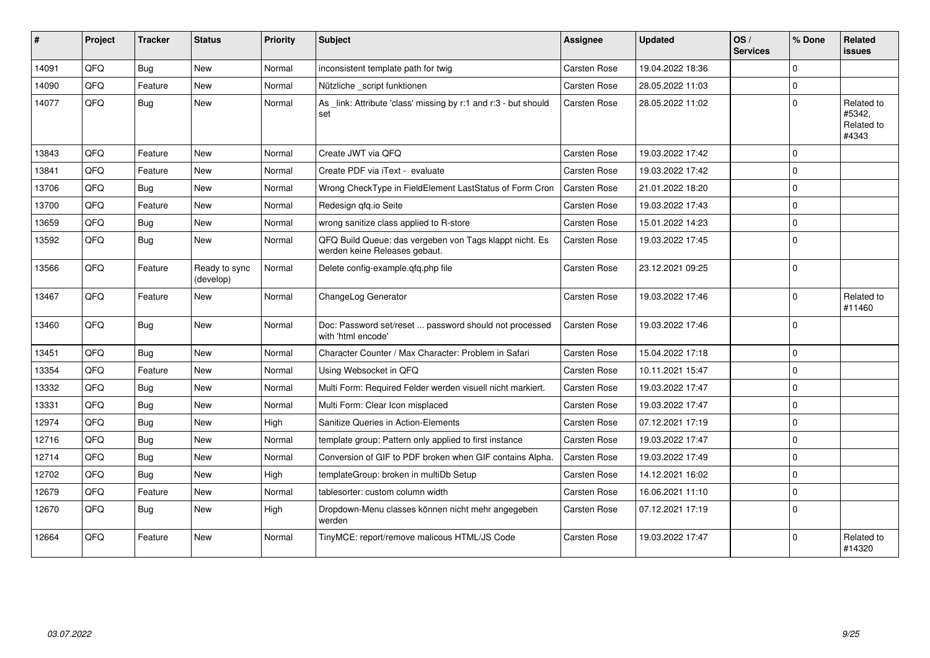| #     | Project | <b>Tracker</b> | <b>Status</b>              | <b>Priority</b> | <b>Subject</b>                                                                           | <b>Assignee</b>     | <b>Updated</b>   | OS/<br><b>Services</b> | % Done         | <b>Related</b><br>issues                    |
|-------|---------|----------------|----------------------------|-----------------|------------------------------------------------------------------------------------------|---------------------|------------------|------------------------|----------------|---------------------------------------------|
| 14091 | QFQ     | Bug            | New                        | Normal          | inconsistent template path for twig                                                      | <b>Carsten Rose</b> | 19.04.2022 18:36 |                        | $\Omega$       |                                             |
| 14090 | QFQ     | Feature        | <b>New</b>                 | Normal          | Nützliche script funktionen                                                              | <b>Carsten Rose</b> | 28.05.2022 11:03 |                        | $\Omega$       |                                             |
| 14077 | QFQ     | Bug            | <b>New</b>                 | Normal          | As link: Attribute 'class' missing by r:1 and r:3 - but should<br>set                    | <b>Carsten Rose</b> | 28.05.2022 11:02 |                        | $\Omega$       | Related to<br>#5342,<br>Related to<br>#4343 |
| 13843 | QFQ     | Feature        | <b>New</b>                 | Normal          | Create JWT via QFQ                                                                       | Carsten Rose        | 19.03.2022 17:42 |                        | $\Omega$       |                                             |
| 13841 | QFQ     | Feature        | New                        | Normal          | Create PDF via iText - evaluate                                                          | <b>Carsten Rose</b> | 19.03.2022 17:42 |                        | $\Omega$       |                                             |
| 13706 | QFQ     | <b>Bug</b>     | <b>New</b>                 | Normal          | Wrong CheckType in FieldElement LastStatus of Form Cron                                  | <b>Carsten Rose</b> | 21.01.2022 18:20 |                        | $\Omega$       |                                             |
| 13700 | QFQ     | Feature        | <b>New</b>                 | Normal          | Redesign qfq.io Seite                                                                    | <b>Carsten Rose</b> | 19.03.2022 17:43 |                        | $\Omega$       |                                             |
| 13659 | QFQ     | Bug            | <b>New</b>                 | Normal          | wrong sanitize class applied to R-store                                                  | <b>Carsten Rose</b> | 15.01.2022 14:23 |                        | $\mathbf 0$    |                                             |
| 13592 | QFQ     | Bug            | <b>New</b>                 | Normal          | QFQ Build Queue: das vergeben von Tags klappt nicht. Es<br>werden keine Releases gebaut. | <b>Carsten Rose</b> | 19.03.2022 17:45 |                        | $\overline{0}$ |                                             |
| 13566 | QFQ     | Feature        | Ready to sync<br>(develop) | Normal          | Delete config-example.qfq.php file                                                       | <b>Carsten Rose</b> | 23.12.2021 09:25 |                        | $\overline{0}$ |                                             |
| 13467 | QFQ     | Feature        | <b>New</b>                 | Normal          | ChangeLog Generator                                                                      | Carsten Rose        | 19.03.2022 17:46 |                        | $\Omega$       | Related to<br>#11460                        |
| 13460 | QFQ     | Bug            | <b>New</b>                 | Normal          | Doc: Password set/reset  password should not processed<br>with 'html encode'             | <b>Carsten Rose</b> | 19.03.2022 17:46 |                        | $\overline{0}$ |                                             |
| 13451 | QFQ     | Bug            | <b>New</b>                 | Normal          | Character Counter / Max Character: Problem in Safari                                     | <b>Carsten Rose</b> | 15.04.2022 17:18 |                        | 0              |                                             |
| 13354 | QFQ     | Feature        | <b>New</b>                 | Normal          | Using Websocket in QFQ                                                                   | Carsten Rose        | 10.11.2021 15:47 |                        | $\Omega$       |                                             |
| 13332 | QFQ     | Bug            | <b>New</b>                 | Normal          | Multi Form: Required Felder werden visuell nicht markiert.                               | <b>Carsten Rose</b> | 19.03.2022 17:47 |                        | 0              |                                             |
| 13331 | QFQ     | Bug            | <b>New</b>                 | Normal          | Multi Form: Clear Icon misplaced                                                         | <b>Carsten Rose</b> | 19.03.2022 17:47 |                        | $\Omega$       |                                             |
| 12974 | QFQ     | <b>Bug</b>     | <b>New</b>                 | High            | Sanitize Queries in Action-Elements                                                      | <b>Carsten Rose</b> | 07.12.2021 17:19 |                        | $\Omega$       |                                             |
| 12716 | QFQ     | Bug            | <b>New</b>                 | Normal          | template group: Pattern only applied to first instance                                   | <b>Carsten Rose</b> | 19.03.2022 17:47 |                        | $\Omega$       |                                             |
| 12714 | QFQ     | <b>Bug</b>     | <b>New</b>                 | Normal          | Conversion of GIF to PDF broken when GIF contains Alpha.                                 | <b>Carsten Rose</b> | 19.03.2022 17:49 |                        | $\Omega$       |                                             |
| 12702 | QFQ     | Bug            | <b>New</b>                 | High            | templateGroup: broken in multiDb Setup                                                   | Carsten Rose        | 14.12.2021 16:02 |                        | $\Omega$       |                                             |
| 12679 | QFQ     | Feature        | New                        | Normal          | tablesorter: custom column width                                                         | <b>Carsten Rose</b> | 16.06.2021 11:10 |                        | $\Omega$       |                                             |
| 12670 | QFQ     | Bug            | <b>New</b>                 | High            | Dropdown-Menu classes können nicht mehr angegeben<br>werden                              | <b>Carsten Rose</b> | 07.12.2021 17:19 |                        | $\Omega$       |                                             |
| 12664 | QFQ     | Feature        | <b>New</b>                 | Normal          | TinyMCE: report/remove malicous HTML/JS Code                                             | <b>Carsten Rose</b> | 19.03.2022 17:47 |                        | $\Omega$       | Related to<br>#14320                        |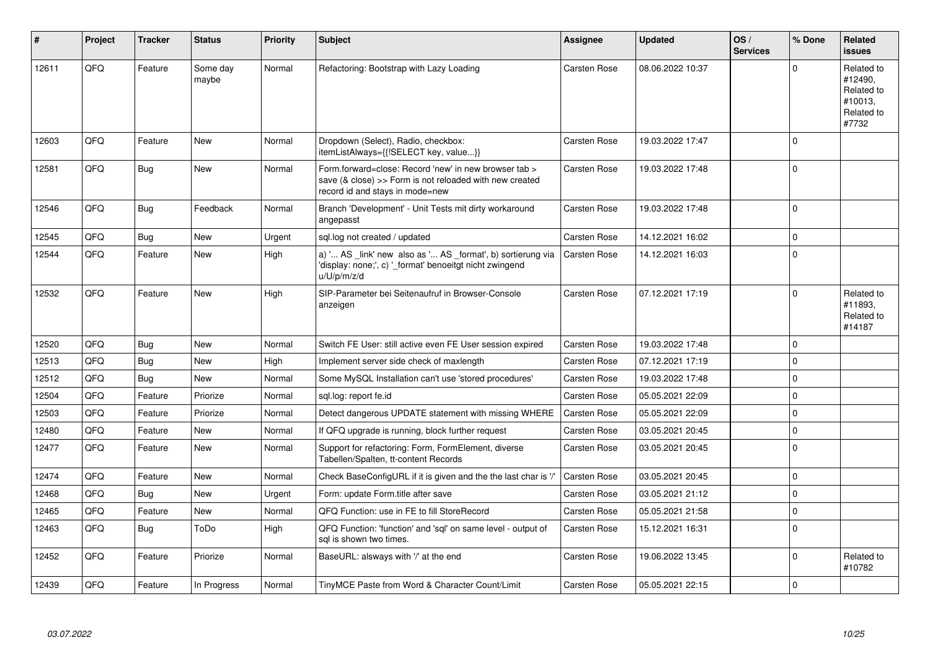| #     | Project    | <b>Tracker</b> | <b>Status</b>     | <b>Priority</b> | <b>Subject</b>                                                                                                                                      | Assignee            | <b>Updated</b>   | OS/<br><b>Services</b> | % Done   | <b>Related</b><br><b>issues</b>                                       |
|-------|------------|----------------|-------------------|-----------------|-----------------------------------------------------------------------------------------------------------------------------------------------------|---------------------|------------------|------------------------|----------|-----------------------------------------------------------------------|
| 12611 | QFQ        | Feature        | Some day<br>maybe | Normal          | Refactoring: Bootstrap with Lazy Loading                                                                                                            | <b>Carsten Rose</b> | 08.06.2022 10:37 |                        | $\Omega$ | Related to<br>#12490.<br>Related to<br>#10013.<br>Related to<br>#7732 |
| 12603 | QFQ        | Feature        | <b>New</b>        | Normal          | Dropdown (Select), Radio, checkbox:<br>itemListAlways={{!SELECT key, value}}                                                                        | <b>Carsten Rose</b> | 19.03.2022 17:47 |                        | $\Omega$ |                                                                       |
| 12581 | QFQ        | <b>Bug</b>     | <b>New</b>        | Normal          | Form.forward=close: Record 'new' in new browser tab ><br>save (& close) >> Form is not reloaded with new created<br>record id and stays in mode=new | <b>Carsten Rose</b> | 19.03.2022 17:48 |                        | $\Omega$ |                                                                       |
| 12546 | QFQ        | <b>Bug</b>     | Feedback          | Normal          | Branch 'Development' - Unit Tests mit dirty workaround<br>angepasst                                                                                 | Carsten Rose        | 19.03.2022 17:48 |                        | $\Omega$ |                                                                       |
| 12545 | QFQ        | Bug            | <b>New</b>        | Urgent          | sql.log not created / updated                                                                                                                       | Carsten Rose        | 14.12.2021 16:02 |                        | $\Omega$ |                                                                       |
| 12544 | QFQ        | Feature        | <b>New</b>        | High            | a) ' AS _link' new also as ' AS _format', b) sortierung via<br>'display: none;', c) ' format' benoeitgt nicht zwingend<br>u/U/p/m/z/d               | <b>Carsten Rose</b> | 14.12.2021 16:03 |                        | $\Omega$ |                                                                       |
| 12532 | QFQ        | Feature        | <b>New</b>        | High            | SIP-Parameter bei Seitenaufruf in Browser-Console<br>anzeigen                                                                                       | <b>Carsten Rose</b> | 07.12.2021 17:19 |                        | $\Omega$ | Related to<br>#11893.<br>Related to<br>#14187                         |
| 12520 | <b>OFO</b> | <b>Bug</b>     | <b>New</b>        | Normal          | Switch FE User: still active even FE User session expired                                                                                           | Carsten Rose        | 19.03.2022 17:48 |                        | $\Omega$ |                                                                       |
| 12513 | QFQ        | Bug            | <b>New</b>        | High            | Implement server side check of maxlength                                                                                                            | <b>Carsten Rose</b> | 07.12.2021 17:19 |                        | $\Omega$ |                                                                       |
| 12512 | QFQ        | <b>Bug</b>     | <b>New</b>        | Normal          | Some MySQL Installation can't use 'stored procedures'                                                                                               | <b>Carsten Rose</b> | 19.03.2022 17:48 |                        | $\Omega$ |                                                                       |
| 12504 | QFQ        | Feature        | Priorize          | Normal          | sql.log: report fe.id                                                                                                                               | <b>Carsten Rose</b> | 05.05.2021 22:09 |                        | $\Omega$ |                                                                       |
| 12503 | QFQ        | Feature        | Priorize          | Normal          | Detect dangerous UPDATE statement with missing WHERE                                                                                                | <b>Carsten Rose</b> | 05.05.2021 22:09 |                        | $\Omega$ |                                                                       |
| 12480 | QFQ        | Feature        | <b>New</b>        | Normal          | If QFQ upgrade is running, block further request                                                                                                    | <b>Carsten Rose</b> | 03.05.2021 20:45 |                        | $\Omega$ |                                                                       |
| 12477 | QFQ        | Feature        | <b>New</b>        | Normal          | Support for refactoring: Form, FormElement, diverse<br>Tabellen/Spalten, tt-content Records                                                         | Carsten Rose        | 03.05.2021 20:45 |                        | $\Omega$ |                                                                       |
| 12474 | <b>OFO</b> | Feature        | <b>New</b>        | Normal          | Check BaseConfigURL if it is given and the the last char is '/'                                                                                     | Carsten Rose        | 03.05.2021 20:45 |                        | $\Omega$ |                                                                       |
| 12468 | QFQ        | Bug            | New               | Urgent          | Form: update Form.title after save                                                                                                                  | Carsten Rose        | 03.05.2021 21:12 |                        | $\Omega$ |                                                                       |
| 12465 | QFQ        | Feature        | <b>New</b>        | Normal          | QFQ Function: use in FE to fill StoreRecord                                                                                                         | Carsten Rose        | 05.05.2021 21:58 |                        | $\Omega$ |                                                                       |
| 12463 | QFQ        | Bug            | ToDo              | High            | QFQ Function: 'function' and 'sql' on same level - output of<br>sal is shown two times.                                                             | <b>Carsten Rose</b> | 15.12.2021 16:31 |                        | $\Omega$ |                                                                       |
| 12452 | QFQ        | Feature        | Priorize          | Normal          | BaseURL: alsways with '/' at the end                                                                                                                | Carsten Rose        | 19.06.2022 13:45 |                        | $\Omega$ | Related to<br>#10782                                                  |
| 12439 | QFQ        | Feature        | In Progress       | Normal          | TinyMCE Paste from Word & Character Count/Limit                                                                                                     | Carsten Rose        | 05.05.2021 22:15 |                        | $\Omega$ |                                                                       |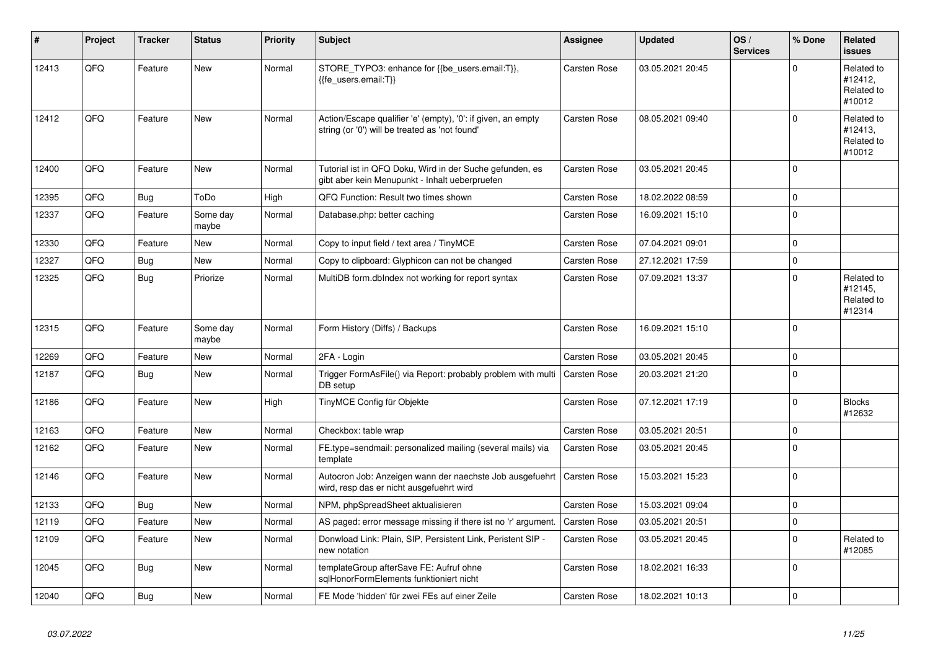| #     | Project | <b>Tracker</b> | <b>Status</b>     | <b>Priority</b> | <b>Subject</b>                                                                                                 | Assignee            | <b>Updated</b>   | OS/<br><b>Services</b> | % Done      | Related<br><b>issues</b>                      |
|-------|---------|----------------|-------------------|-----------------|----------------------------------------------------------------------------------------------------------------|---------------------|------------------|------------------------|-------------|-----------------------------------------------|
| 12413 | QFQ     | Feature        | <b>New</b>        | Normal          | STORE_TYPO3: enhance for {{be_users.email:T}},<br>{{fe users.email:T}}                                         | Carsten Rose        | 03.05.2021 20:45 |                        | $\Omega$    | Related to<br>#12412,<br>Related to<br>#10012 |
| 12412 | QFQ     | Feature        | <b>New</b>        | Normal          | Action/Escape qualifier 'e' (empty), '0': if given, an empty<br>string (or '0') will be treated as 'not found' | Carsten Rose        | 08.05.2021 09:40 |                        | $\Omega$    | Related to<br>#12413,<br>Related to<br>#10012 |
| 12400 | QFQ     | Feature        | New               | Normal          | Tutorial ist in QFQ Doku, Wird in der Suche gefunden, es<br>gibt aber kein Menupunkt - Inhalt ueberpruefen     | <b>Carsten Rose</b> | 03.05.2021 20:45 |                        | $\Omega$    |                                               |
| 12395 | QFQ     | Bug            | ToDo              | High            | QFQ Function: Result two times shown                                                                           | Carsten Rose        | 18.02.2022 08:59 |                        | $\Omega$    |                                               |
| 12337 | QFQ     | Feature        | Some day<br>maybe | Normal          | Database.php: better caching                                                                                   | Carsten Rose        | 16.09.2021 15:10 |                        | $\mathbf 0$ |                                               |
| 12330 | QFQ     | Feature        | <b>New</b>        | Normal          | Copy to input field / text area / TinyMCE                                                                      | <b>Carsten Rose</b> | 07.04.2021 09:01 |                        | $\Omega$    |                                               |
| 12327 | QFQ     | Bug            | New               | Normal          | Copy to clipboard: Glyphicon can not be changed                                                                | <b>Carsten Rose</b> | 27.12.2021 17:59 |                        | $\mathbf 0$ |                                               |
| 12325 | QFQ     | <b>Bug</b>     | Priorize          | Normal          | MultiDB form.dblndex not working for report syntax                                                             | <b>Carsten Rose</b> | 07.09.2021 13:37 |                        | $\Omega$    | Related to<br>#12145.<br>Related to<br>#12314 |
| 12315 | QFQ     | Feature        | Some day<br>maybe | Normal          | Form History (Diffs) / Backups                                                                                 | <b>Carsten Rose</b> | 16.09.2021 15:10 |                        | $\Omega$    |                                               |
| 12269 | QFQ     | Feature        | <b>New</b>        | Normal          | 2FA - Login                                                                                                    | Carsten Rose        | 03.05.2021 20:45 |                        | $\mathbf 0$ |                                               |
| 12187 | QFQ     | <b>Bug</b>     | New               | Normal          | Trigger FormAsFile() via Report: probably problem with multi<br>DB setup                                       | <b>Carsten Rose</b> | 20.03.2021 21:20 |                        | $\Omega$    |                                               |
| 12186 | QFQ     | Feature        | New               | High            | TinyMCE Config für Objekte                                                                                     | <b>Carsten Rose</b> | 07.12.2021 17:19 |                        | $\Omega$    | <b>Blocks</b><br>#12632                       |
| 12163 | QFQ     | Feature        | <b>New</b>        | Normal          | Checkbox: table wrap                                                                                           | Carsten Rose        | 03.05.2021 20:51 |                        | $\mathbf 0$ |                                               |
| 12162 | QFQ     | Feature        | <b>New</b>        | Normal          | FE.type=sendmail: personalized mailing (several mails) via<br>template                                         | Carsten Rose        | 03.05.2021 20:45 |                        | $\Omega$    |                                               |
| 12146 | QFQ     | Feature        | <b>New</b>        | Normal          | Autocron Job: Anzeigen wann der naechste Job ausgefuehrt<br>wird, resp das er nicht ausgefuehrt wird           | Carsten Rose        | 15.03.2021 15:23 |                        | $\Omega$    |                                               |
| 12133 | QFQ     | Bug            | <b>New</b>        | Normal          | NPM, phpSpreadSheet aktualisieren                                                                              | Carsten Rose        | 15.03.2021 09:04 |                        | $\mathbf 0$ |                                               |
| 12119 | QFQ     | Feature        | <b>New</b>        | Normal          | AS paged: error message missing if there ist no 'r' argument.                                                  | <b>Carsten Rose</b> | 03.05.2021 20:51 |                        | $\Omega$    |                                               |
| 12109 | QFQ     | Feature        | <b>New</b>        | Normal          | Donwload Link: Plain, SIP, Persistent Link, Peristent SIP -<br>new notation                                    | <b>Carsten Rose</b> | 03.05.2021 20:45 |                        | $\Omega$    | Related to<br>#12085                          |
| 12045 | QFQ     | Bug            | New               | Normal          | templateGroup afterSave FE: Aufruf ohne<br>sglHonorFormElements funktioniert nicht                             | Carsten Rose        | 18.02.2021 16:33 |                        | $\Omega$    |                                               |
| 12040 | QFQ     | Bug            | <b>New</b>        | Normal          | FE Mode 'hidden' für zwei FEs auf einer Zeile                                                                  | <b>Carsten Rose</b> | 18.02.2021 10:13 |                        | $\mathbf 0$ |                                               |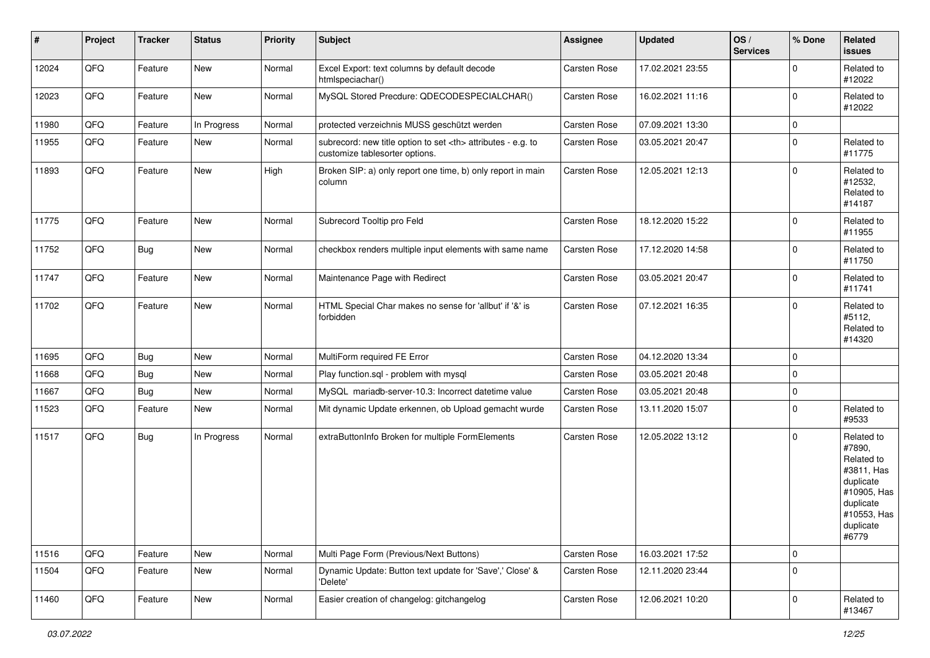| $\vert$ # | Project | <b>Tracker</b> | <b>Status</b> | <b>Priority</b> | <b>Subject</b>                                                                                       | <b>Assignee</b>                                        | <b>Updated</b>   | OS/<br><b>Services</b> | % Done      | Related<br>issues                                                                                                              |                      |
|-----------|---------|----------------|---------------|-----------------|------------------------------------------------------------------------------------------------------|--------------------------------------------------------|------------------|------------------------|-------------|--------------------------------------------------------------------------------------------------------------------------------|----------------------|
| 12024     | QFQ     | Feature        | New           | Normal          | Excel Export: text columns by default decode<br>htmlspeciachar()                                     | Carsten Rose                                           | 17.02.2021 23:55 |                        | $\Omega$    | Related to<br>#12022                                                                                                           |                      |
| 12023     | QFQ     | Feature        | New           | Normal          | MySQL Stored Precdure: QDECODESPECIALCHAR()                                                          | Carsten Rose                                           | 16.02.2021 11:16 |                        | $\mathbf 0$ | Related to<br>#12022                                                                                                           |                      |
| 11980     | QFQ     | Feature        | In Progress   | Normal          | protected verzeichnis MUSS geschützt werden                                                          | Carsten Rose                                           | 07.09.2021 13:30 |                        | $\mathbf 0$ |                                                                                                                                |                      |
| 11955     | QFQ     | Feature        | New           | Normal          | subrecord: new title option to set <th> attributes - e.g. to<br/>customize tablesorter options.</th> | attributes - e.g. to<br>customize tablesorter options. | Carsten Rose     | 03.05.2021 20:47       |             | $\mathbf 0$                                                                                                                    | Related to<br>#11775 |
| 11893     | QFQ     | Feature        | New           | High            | Broken SIP: a) only report one time, b) only report in main<br>column                                | Carsten Rose                                           | 12.05.2021 12:13 |                        | $\mathbf 0$ | Related to<br>#12532,<br>Related to<br>#14187                                                                                  |                      |
| 11775     | QFQ     | Feature        | <b>New</b>    | Normal          | Subrecord Tooltip pro Feld                                                                           | Carsten Rose                                           | 18.12.2020 15:22 |                        | $\mathbf 0$ | Related to<br>#11955                                                                                                           |                      |
| 11752     | QFQ     | <b>Bug</b>     | New           | Normal          | checkbox renders multiple input elements with same name                                              | Carsten Rose                                           | 17.12.2020 14:58 |                        | $\Omega$    | Related to<br>#11750                                                                                                           |                      |
| 11747     | QFQ     | Feature        | New           | Normal          | Maintenance Page with Redirect                                                                       | Carsten Rose                                           | 03.05.2021 20:47 |                        | $\mathbf 0$ | Related to<br>#11741                                                                                                           |                      |
| 11702     | QFQ     | Feature        | New           | Normal          | HTML Special Char makes no sense for 'allbut' if '&' is<br>forbidden                                 | <b>Carsten Rose</b>                                    | 07.12.2021 16:35 |                        | $\Omega$    | Related to<br>#5112,<br>Related to<br>#14320                                                                                   |                      |
| 11695     | QFQ     | <b>Bug</b>     | New           | Normal          | MultiForm required FE Error                                                                          | Carsten Rose                                           | 04.12.2020 13:34 |                        | $\mathbf 0$ |                                                                                                                                |                      |
| 11668     | QFQ     | Bug            | New           | Normal          | Play function.sql - problem with mysql                                                               | Carsten Rose                                           | 03.05.2021 20:48 |                        | $\mathbf 0$ |                                                                                                                                |                      |
| 11667     | QFQ     | Bug            | New           | Normal          | MySQL mariadb-server-10.3: Incorrect datetime value                                                  | Carsten Rose                                           | 03.05.2021 20:48 |                        | $\mathbf 0$ |                                                                                                                                |                      |
| 11523     | QFQ     | Feature        | New           | Normal          | Mit dynamic Update erkennen, ob Upload gemacht wurde                                                 | Carsten Rose                                           | 13.11.2020 15:07 |                        | $\Omega$    | Related to<br>#9533                                                                                                            |                      |
| 11517     | QFQ     | <b>Bug</b>     | In Progress   | Normal          | extraButtonInfo Broken for multiple FormElements                                                     | Carsten Rose                                           | 12.05.2022 13:12 |                        | $\mathbf 0$ | Related to<br>#7890,<br>Related to<br>#3811, Has<br>duplicate<br>#10905, Has<br>duplicate<br>#10553, Has<br>duplicate<br>#6779 |                      |
| 11516     | QFQ     | Feature        | New           | Normal          | Multi Page Form (Previous/Next Buttons)                                                              | Carsten Rose                                           | 16.03.2021 17:52 |                        | $\mathbf 0$ |                                                                                                                                |                      |
| 11504     | QFQ     | Feature        | New           | Normal          | Dynamic Update: Button text update for 'Save',' Close' &<br>'Delete'                                 | Carsten Rose                                           | 12.11.2020 23:44 |                        | $\mathbf 0$ |                                                                                                                                |                      |
| 11460     | QFQ     | Feature        | New           | Normal          | Easier creation of changelog: gitchangelog                                                           | Carsten Rose                                           | 12.06.2021 10:20 |                        | $\mathbf 0$ | Related to<br>#13467                                                                                                           |                      |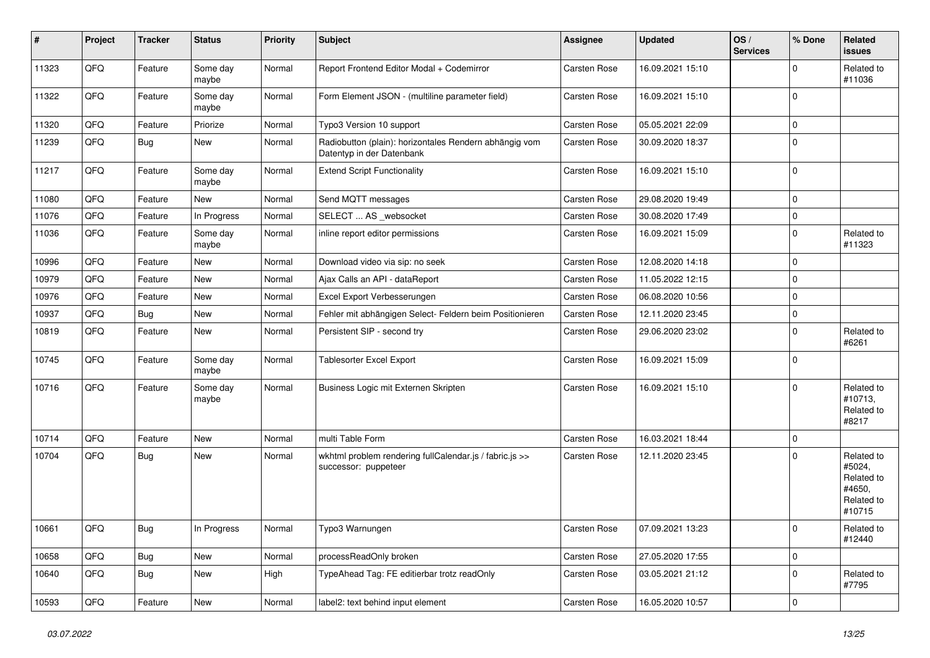| #     | Project | <b>Tracker</b> | <b>Status</b>     | <b>Priority</b> | <b>Subject</b>                                                                      | <b>Assignee</b>     | <b>Updated</b>   | OS/<br><b>Services</b> | % Done      | Related<br>issues                                                    |
|-------|---------|----------------|-------------------|-----------------|-------------------------------------------------------------------------------------|---------------------|------------------|------------------------|-------------|----------------------------------------------------------------------|
| 11323 | QFQ     | Feature        | Some day<br>maybe | Normal          | Report Frontend Editor Modal + Codemirror                                           | Carsten Rose        | 16.09.2021 15:10 |                        | 0           | Related to<br>#11036                                                 |
| 11322 | QFQ     | Feature        | Some day<br>maybe | Normal          | Form Element JSON - (multiline parameter field)                                     | Carsten Rose        | 16.09.2021 15:10 |                        | $\Omega$    |                                                                      |
| 11320 | QFQ     | Feature        | Priorize          | Normal          | Typo3 Version 10 support                                                            | Carsten Rose        | 05.05.2021 22:09 |                        | 0           |                                                                      |
| 11239 | QFQ     | Bug            | New               | Normal          | Radiobutton (plain): horizontales Rendern abhängig vom<br>Datentyp in der Datenbank | Carsten Rose        | 30.09.2020 18:37 |                        | $\Omega$    |                                                                      |
| 11217 | QFQ     | Feature        | Some day<br>maybe | Normal          | <b>Extend Script Functionality</b>                                                  | Carsten Rose        | 16.09.2021 15:10 |                        | $\Omega$    |                                                                      |
| 11080 | QFQ     | Feature        | New               | Normal          | Send MQTT messages                                                                  | Carsten Rose        | 29.08.2020 19:49 |                        | $\mathbf 0$ |                                                                      |
| 11076 | QFQ     | Feature        | In Progress       | Normal          | SELECT  AS _websocket                                                               | <b>Carsten Rose</b> | 30.08.2020 17:49 |                        | 0           |                                                                      |
| 11036 | QFQ     | Feature        | Some day<br>maybe | Normal          | inline report editor permissions                                                    | Carsten Rose        | 16.09.2021 15:09 |                        | $\mathbf 0$ | Related to<br>#11323                                                 |
| 10996 | QFQ     | Feature        | New               | Normal          | Download video via sip: no seek                                                     | Carsten Rose        | 12.08.2020 14:18 |                        | $\Omega$    |                                                                      |
| 10979 | QFQ     | Feature        | <b>New</b>        | Normal          | Ajax Calls an API - dataReport                                                      | Carsten Rose        | 11.05.2022 12:15 |                        | $\mathbf 0$ |                                                                      |
| 10976 | QFQ     | Feature        | New               | Normal          | Excel Export Verbesserungen                                                         | Carsten Rose        | 06.08.2020 10:56 |                        | $\Omega$    |                                                                      |
| 10937 | QFQ     | <b>Bug</b>     | <b>New</b>        | Normal          | Fehler mit abhängigen Select- Feldern beim Positionieren                            | <b>Carsten Rose</b> | 12.11.2020 23:45 |                        | $\mathbf 0$ |                                                                      |
| 10819 | QFQ     | Feature        | New               | Normal          | Persistent SIP - second try                                                         | Carsten Rose        | 29.06.2020 23:02 |                        | $\Omega$    | Related to<br>#6261                                                  |
| 10745 | QFQ     | Feature        | Some day<br>maybe | Normal          | Tablesorter Excel Export                                                            | Carsten Rose        | 16.09.2021 15:09 |                        | $\mathbf 0$ |                                                                      |
| 10716 | QFQ     | Feature        | Some day<br>maybe | Normal          | Business Logic mit Externen Skripten                                                | Carsten Rose        | 16.09.2021 15:10 |                        | $\Omega$    | Related to<br>#10713,<br>Related to<br>#8217                         |
| 10714 | QFQ     | Feature        | <b>New</b>        | Normal          | multi Table Form                                                                    | Carsten Rose        | 16.03.2021 18:44 |                        | $\mathbf 0$ |                                                                      |
| 10704 | QFQ     | <b>Bug</b>     | New               | Normal          | wkhtml problem rendering fullCalendar.js / fabric.js >><br>successor: puppeteer     | Carsten Rose        | 12.11.2020 23:45 |                        | $\Omega$    | Related to<br>#5024,<br>Related to<br>#4650,<br>Related to<br>#10715 |
| 10661 | QFQ     | <b>Bug</b>     | In Progress       | Normal          | Typo3 Warnungen                                                                     | Carsten Rose        | 07.09.2021 13:23 |                        | ΙO          | Related to<br>#12440                                                 |
| 10658 | QFQ     | Bug            | New               | Normal          | processReadOnly broken                                                              | Carsten Rose        | 27.05.2020 17:55 |                        | $\mathbf 0$ |                                                                      |
| 10640 | QFQ     | Bug            | New               | High            | TypeAhead Tag: FE editierbar trotz readOnly                                         | Carsten Rose        | 03.05.2021 21:12 |                        | $\mathbf 0$ | Related to<br>#7795                                                  |
| 10593 | QFQ     | Feature        | New               | Normal          | label2: text behind input element                                                   | Carsten Rose        | 16.05.2020 10:57 |                        | $\mathbf 0$ |                                                                      |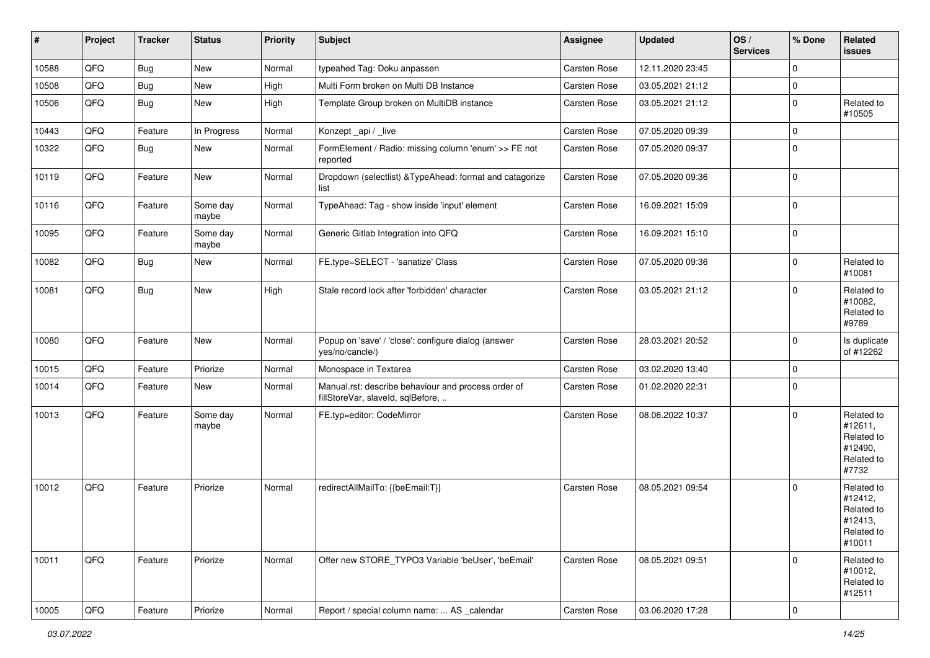| #     | Project | <b>Tracker</b> | <b>Status</b>     | <b>Priority</b> | <b>Subject</b>                                                                           | Assignee     | <b>Updated</b>   | OS/<br><b>Services</b> | % Done                  | Related<br>issues                                                      |
|-------|---------|----------------|-------------------|-----------------|------------------------------------------------------------------------------------------|--------------|------------------|------------------------|-------------------------|------------------------------------------------------------------------|
| 10588 | QFQ     | <b>Bug</b>     | New               | Normal          | typeahed Tag: Doku anpassen                                                              | Carsten Rose | 12.11.2020 23:45 |                        | $\Omega$                |                                                                        |
| 10508 | QFQ     | <b>Bug</b>     | New               | High            | Multi Form broken on Multi DB Instance                                                   | Carsten Rose | 03.05.2021 21:12 |                        | $\mathbf 0$             |                                                                        |
| 10506 | QFQ     | <b>Bug</b>     | New               | High            | Template Group broken on MultiDB instance                                                | Carsten Rose | 03.05.2021 21:12 |                        | $\Omega$                | Related to<br>#10505                                                   |
| 10443 | QFQ     | Feature        | In Progress       | Normal          | Konzept_api / _live                                                                      | Carsten Rose | 07.05.2020 09:39 |                        | $\Omega$                |                                                                        |
| 10322 | QFQ     | Bug            | New               | Normal          | FormElement / Radio: missing column 'enum' >> FE not<br>reported                         | Carsten Rose | 07.05.2020 09:37 |                        | $\Omega$                |                                                                        |
| 10119 | QFQ     | Feature        | New               | Normal          | Dropdown (selectlist) & TypeAhead: format and catagorize<br>list                         | Carsten Rose | 07.05.2020 09:36 |                        | $\Omega$                |                                                                        |
| 10116 | QFQ     | Feature        | Some day<br>maybe | Normal          | TypeAhead: Tag - show inside 'input' element                                             | Carsten Rose | 16.09.2021 15:09 |                        | $\mathbf 0$             |                                                                        |
| 10095 | QFQ     | Feature        | Some day<br>maybe | Normal          | Generic Gitlab Integration into QFQ                                                      | Carsten Rose | 16.09.2021 15:10 |                        | $\mathbf 0$             |                                                                        |
| 10082 | QFQ     | <b>Bug</b>     | New               | Normal          | FE.type=SELECT - 'sanatize' Class                                                        | Carsten Rose | 07.05.2020 09:36 |                        | $\Omega$                | Related to<br>#10081                                                   |
| 10081 | QFQ     | <b>Bug</b>     | New               | High            | Stale record lock after 'forbidden' character                                            | Carsten Rose | 03.05.2021 21:12 |                        | $\Omega$                | Related to<br>#10082,<br>Related to<br>#9789                           |
| 10080 | QFQ     | Feature        | New               | Normal          | Popup on 'save' / 'close': configure dialog (answer<br>yes/no/cancle/)                   | Carsten Rose | 28.03.2021 20:52 |                        | $\mathbf 0$             | Is duplicate<br>of #12262                                              |
| 10015 | QFQ     | Feature        | Priorize          | Normal          | Monospace in Textarea                                                                    | Carsten Rose | 03.02.2020 13:40 |                        | $\Omega$                |                                                                        |
| 10014 | QFQ     | Feature        | New               | Normal          | Manual.rst: describe behaviour and process order of<br>fillStoreVar, slaveId, sqlBefore, | Carsten Rose | 01.02.2020 22:31 |                        | $\mathbf 0$             |                                                                        |
| 10013 | QFQ     | Feature        | Some day<br>maybe | Normal          | FE.typ=editor: CodeMirror                                                                | Carsten Rose | 08.06.2022 10:37 |                        | $\Omega$                | Related to<br>#12611,<br>Related to<br>#12490,<br>Related to<br>#7732  |
| 10012 | QFQ     | Feature        | Priorize          | Normal          | redirectAllMailTo: {{beEmail:T}}                                                         | Carsten Rose | 08.05.2021 09:54 |                        | $\Omega$                | Related to<br>#12412,<br>Related to<br>#12413,<br>Related to<br>#10011 |
| 10011 | QFQ     | Feature        | Priorize          | Normal          | Offer new STORE_TYPO3 Variable 'beUser', 'beEmail'                                       | Carsten Rose | 08.05.2021 09:51 |                        | 0                       | Related to<br>#10012,<br>Related to<br>#12511                          |
| 10005 | QFQ     | Feature        | Priorize          | Normal          | Report / special column name:  AS calendar                                               | Carsten Rose | 03.06.2020 17:28 |                        | $\overline{\mathbf{0}}$ |                                                                        |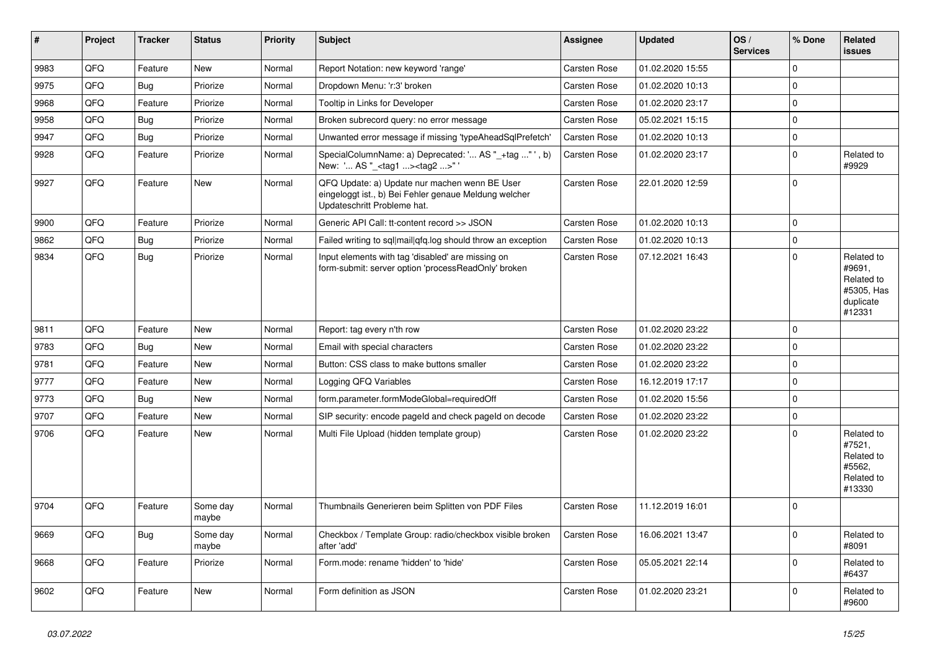| ∥ #  | Project | <b>Tracker</b> | <b>Status</b>     | Priority | <b>Subject</b>                                                                                                                        | Assignee            | <b>Updated</b>   | OS/<br><b>Services</b> | % Done      | Related<br><b>issues</b>                                                |
|------|---------|----------------|-------------------|----------|---------------------------------------------------------------------------------------------------------------------------------------|---------------------|------------------|------------------------|-------------|-------------------------------------------------------------------------|
| 9983 | QFQ     | Feature        | <b>New</b>        | Normal   | Report Notation: new keyword 'range'                                                                                                  | Carsten Rose        | 01.02.2020 15:55 |                        | $\mathbf 0$ |                                                                         |
| 9975 | QFQ     | Bug            | Priorize          | Normal   | Dropdown Menu: 'r:3' broken                                                                                                           | Carsten Rose        | 01.02.2020 10:13 |                        | $\mathbf 0$ |                                                                         |
| 9968 | QFQ     | Feature        | Priorize          | Normal   | Tooltip in Links for Developer                                                                                                        | Carsten Rose        | 01.02.2020 23:17 |                        | $\mathbf 0$ |                                                                         |
| 9958 | QFQ     | Bug            | Priorize          | Normal   | Broken subrecord query: no error message                                                                                              | Carsten Rose        | 05.02.2021 15:15 |                        | $\mathbf 0$ |                                                                         |
| 9947 | QFQ     | Bug            | Priorize          | Normal   | Unwanted error message if missing 'typeAheadSqlPrefetch'                                                                              | Carsten Rose        | 01.02.2020 10:13 |                        | $\pmb{0}$   |                                                                         |
| 9928 | QFQ     | Feature        | Priorize          | Normal   | SpecialColumnName: a) Deprecated: ' AS "_+tag " ', b)<br>New: ' AS "_ <tag1><tag2>"</tag2></tag1>                                     | Carsten Rose        | 01.02.2020 23:17 |                        | $\Omega$    | Related to<br>#9929                                                     |
| 9927 | QFQ     | Feature        | <b>New</b>        | Normal   | QFQ Update: a) Update nur machen wenn BE User<br>eingeloggt ist., b) Bei Fehler genaue Meldung welcher<br>Updateschritt Probleme hat. | <b>Carsten Rose</b> | 22.01.2020 12:59 |                        | $\mathbf 0$ |                                                                         |
| 9900 | QFQ     | Feature        | Priorize          | Normal   | Generic API Call: tt-content record >> JSON                                                                                           | Carsten Rose        | 01.02.2020 10:13 |                        | $\mathsf 0$ |                                                                         |
| 9862 | QFQ     | <b>Bug</b>     | Priorize          | Normal   | Failed writing to sql mail qfq.log should throw an exception                                                                          | Carsten Rose        | 01.02.2020 10:13 |                        | $\mathbf 0$ |                                                                         |
| 9834 | QFQ     | Bug            | Priorize          | Normal   | Input elements with tag 'disabled' are missing on<br>form-submit: server option 'processReadOnly' broken                              | Carsten Rose        | 07.12.2021 16:43 |                        | $\mathbf 0$ | Related to<br>#9691,<br>Related to<br>#5305, Has<br>duplicate<br>#12331 |
| 9811 | QFQ     | Feature        | <b>New</b>        | Normal   | Report: tag every n'th row                                                                                                            | Carsten Rose        | 01.02.2020 23:22 |                        | $\Omega$    |                                                                         |
| 9783 | QFQ     | Bug            | <b>New</b>        | Normal   | Email with special characters                                                                                                         | Carsten Rose        | 01.02.2020 23:22 |                        | $\mathbf 0$ |                                                                         |
| 9781 | QFQ     | Feature        | <b>New</b>        | Normal   | Button: CSS class to make buttons smaller                                                                                             | Carsten Rose        | 01.02.2020 23:22 |                        | $\mathbf 0$ |                                                                         |
| 9777 | QFQ     | Feature        | New               | Normal   | Logging QFQ Variables                                                                                                                 | <b>Carsten Rose</b> | 16.12.2019 17:17 |                        | $\mathbf 0$ |                                                                         |
| 9773 | QFQ     | Bug            | <b>New</b>        | Normal   | form.parameter.formModeGlobal=requiredOff                                                                                             | Carsten Rose        | 01.02.2020 15:56 |                        | $\mathbf 0$ |                                                                         |
| 9707 | QFQ     | Feature        | New               | Normal   | SIP security: encode pageld and check pageld on decode                                                                                | <b>Carsten Rose</b> | 01.02.2020 23:22 |                        | $\mathsf 0$ |                                                                         |
| 9706 | QFQ     | Feature        | New               | Normal   | Multi File Upload (hidden template group)                                                                                             | Carsten Rose        | 01.02.2020 23:22 |                        | $\mathbf 0$ | Related to<br>#7521,<br>Related to<br>#5562.<br>Related to<br>#13330    |
| 9704 | QFQ     | Feature        | Some day<br>maybe | Normal   | Thumbnails Generieren beim Splitten von PDF Files                                                                                     | <b>Carsten Rose</b> | 11.12.2019 16:01 |                        | $\mathbf 0$ |                                                                         |
| 9669 | QFQ     | <b>Bug</b>     | Some day<br>maybe | Normal   | Checkbox / Template Group: radio/checkbox visible broken<br>after 'add'                                                               | Carsten Rose        | 16.06.2021 13:47 |                        | $\mathbf 0$ | Related to<br>#8091                                                     |
| 9668 | QFQ     | Feature        | Priorize          | Normal   | Form.mode: rename 'hidden' to 'hide'                                                                                                  | <b>Carsten Rose</b> | 05.05.2021 22:14 |                        | $\mathsf 0$ | Related to<br>#6437                                                     |
| 9602 | QFQ     | Feature        | <b>New</b>        | Normal   | Form definition as JSON                                                                                                               | <b>Carsten Rose</b> | 01.02.2020 23:21 |                        | $\Omega$    | Related to<br>#9600                                                     |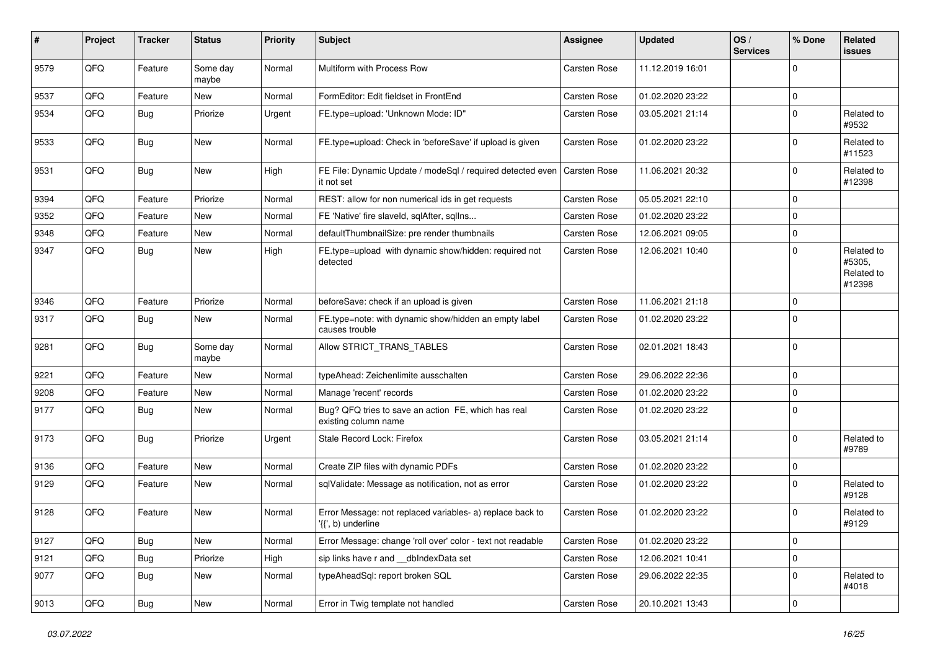| #    | Project | <b>Tracker</b> | <b>Status</b>     | <b>Priority</b> | <b>Subject</b>                                                                  | <b>Assignee</b>     | <b>Updated</b>   | OS/<br><b>Services</b> | % Done      | Related<br>issues                            |
|------|---------|----------------|-------------------|-----------------|---------------------------------------------------------------------------------|---------------------|------------------|------------------------|-------------|----------------------------------------------|
| 9579 | QFQ     | Feature        | Some day<br>maybe | Normal          | Multiform with Process Row                                                      | Carsten Rose        | 11.12.2019 16:01 |                        | $\Omega$    |                                              |
| 9537 | QFQ     | Feature        | New               | Normal          | FormEditor: Edit fieldset in FrontEnd                                           | Carsten Rose        | 01.02.2020 23:22 |                        | $\mathbf 0$ |                                              |
| 9534 | QFQ     | Bug            | Priorize          | Urgent          | FE.type=upload: 'Unknown Mode: ID"                                              | Carsten Rose        | 03.05.2021 21:14 |                        | $\Omega$    | Related to<br>#9532                          |
| 9533 | QFQ     | <b>Bug</b>     | <b>New</b>        | Normal          | FE.type=upload: Check in 'beforeSave' if upload is given                        | Carsten Rose        | 01.02.2020 23:22 |                        | $\Omega$    | Related to<br>#11523                         |
| 9531 | QFQ     | Bug            | <b>New</b>        | High            | FE File: Dynamic Update / modeSql / required detected even<br>it not set        | <b>Carsten Rose</b> | 11.06.2021 20:32 |                        | $\Omega$    | Related to<br>#12398                         |
| 9394 | QFQ     | Feature        | Priorize          | Normal          | REST: allow for non numerical ids in get requests                               | Carsten Rose        | 05.05.2021 22:10 |                        | $\mathbf 0$ |                                              |
| 9352 | QFQ     | Feature        | New               | Normal          | FE 'Native' fire slaveld, sqlAfter, sqllns                                      | Carsten Rose        | 01.02.2020 23:22 |                        | $\Omega$    |                                              |
| 9348 | QFQ     | Feature        | <b>New</b>        | Normal          | defaultThumbnailSize: pre render thumbnails                                     | Carsten Rose        | 12.06.2021 09:05 |                        | $\Omega$    |                                              |
| 9347 | QFQ     | Bug            | <b>New</b>        | High            | FE.type=upload with dynamic show/hidden: required not<br>detected               | Carsten Rose        | 12.06.2021 10:40 |                        | $\Omega$    | Related to<br>#5305,<br>Related to<br>#12398 |
| 9346 | QFQ     | Feature        | Priorize          | Normal          | beforeSave: check if an upload is given                                         | Carsten Rose        | 11.06.2021 21:18 |                        | $\mathbf 0$ |                                              |
| 9317 | QFQ     | Bug            | <b>New</b>        | Normal          | FE.type=note: with dynamic show/hidden an empty label<br>causes trouble         | Carsten Rose        | 01.02.2020 23:22 |                        | $\mathbf 0$ |                                              |
| 9281 | QFQ     | <b>Bug</b>     | Some day<br>maybe | Normal          | Allow STRICT_TRANS_TABLES                                                       | Carsten Rose        | 02.01.2021 18:43 |                        | $\mathbf 0$ |                                              |
| 9221 | QFQ     | Feature        | <b>New</b>        | Normal          | typeAhead: Zeichenlimite ausschalten                                            | Carsten Rose        | 29.06.2022 22:36 |                        | $\mathbf 0$ |                                              |
| 9208 | QFQ     | Feature        | <b>New</b>        | Normal          | Manage 'recent' records                                                         | Carsten Rose        | 01.02.2020 23:22 |                        | $\Omega$    |                                              |
| 9177 | QFQ     | Bug            | New               | Normal          | Bug? QFQ tries to save an action FE, which has real<br>existing column name     | Carsten Rose        | 01.02.2020 23:22 |                        | $\Omega$    |                                              |
| 9173 | QFQ     | Bug            | Priorize          | Urgent          | Stale Record Lock: Firefox                                                      | Carsten Rose        | 03.05.2021 21:14 |                        | $\Omega$    | Related to<br>#9789                          |
| 9136 | QFQ     | Feature        | <b>New</b>        | Normal          | Create ZIP files with dynamic PDFs                                              | Carsten Rose        | 01.02.2020 23:22 |                        | $\Omega$    |                                              |
| 9129 | QFQ     | Feature        | <b>New</b>        | Normal          | sqlValidate: Message as notification, not as error                              | Carsten Rose        | 01.02.2020 23:22 |                        | $\Omega$    | Related to<br>#9128                          |
| 9128 | QFQ     | Feature        | <b>New</b>        | Normal          | Error Message: not replaced variables- a) replace back to<br>'{{', b) underline | Carsten Rose        | 01.02.2020 23:22 |                        | $\mathbf 0$ | Related to<br>#9129                          |
| 9127 | QFQ     | Bug            | New               | Normal          | Error Message: change 'roll over' color - text not readable                     | Carsten Rose        | 01.02.2020 23:22 |                        | 0           |                                              |
| 9121 | QFQ     | <b>Bug</b>     | Priorize          | High            | sip links have r and __dbIndexData set                                          | Carsten Rose        | 12.06.2021 10:41 |                        | $\mathbf 0$ |                                              |
| 9077 | QFQ     | <b>Bug</b>     | New               | Normal          | typeAheadSql: report broken SQL                                                 | Carsten Rose        | 29.06.2022 22:35 |                        | 0           | Related to<br>#4018                          |
| 9013 | QFQ     | Bug            | New               | Normal          | Error in Twig template not handled                                              | Carsten Rose        | 20.10.2021 13:43 |                        | 0           |                                              |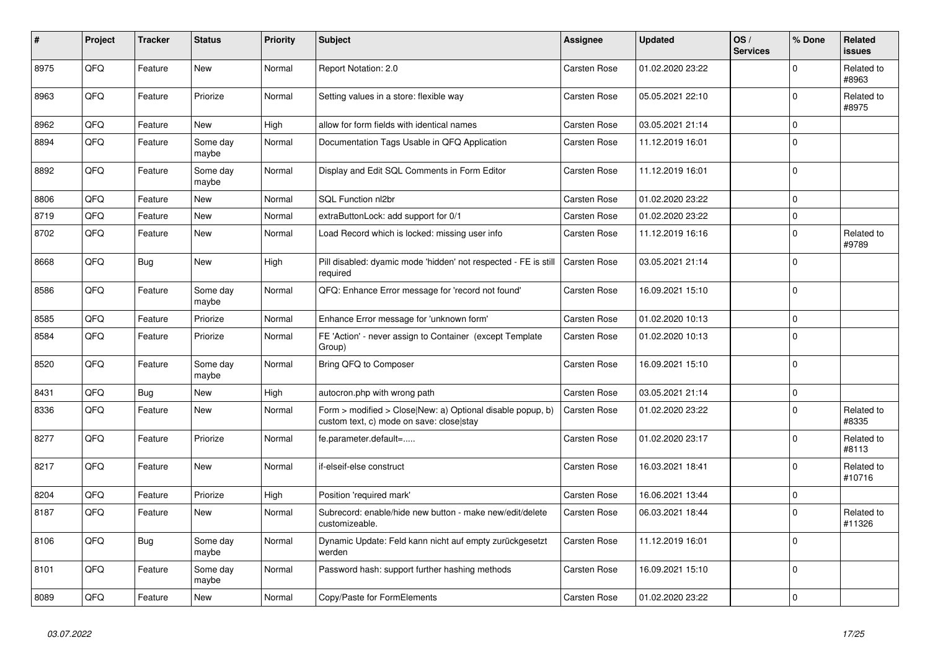| #    | Project | <b>Tracker</b> | <b>Status</b>     | <b>Priority</b> | <b>Subject</b>                                                                                         | Assignee            | <b>Updated</b>   | OS/<br><b>Services</b> | % Done      | Related<br>issues    |
|------|---------|----------------|-------------------|-----------------|--------------------------------------------------------------------------------------------------------|---------------------|------------------|------------------------|-------------|----------------------|
| 8975 | QFQ     | Feature        | <b>New</b>        | Normal          | Report Notation: 2.0                                                                                   | <b>Carsten Rose</b> | 01.02.2020 23:22 |                        | $\Omega$    | Related to<br>#8963  |
| 8963 | QFQ     | Feature        | Priorize          | Normal          | Setting values in a store: flexible way                                                                | <b>Carsten Rose</b> | 05.05.2021 22:10 |                        | $\Omega$    | Related to<br>#8975  |
| 8962 | QFQ     | Feature        | <b>New</b>        | High            | allow for form fields with identical names                                                             | Carsten Rose        | 03.05.2021 21:14 |                        | $\Omega$    |                      |
| 8894 | QFQ     | Feature        | Some day<br>maybe | Normal          | Documentation Tags Usable in QFQ Application                                                           | Carsten Rose        | 11.12.2019 16:01 |                        | $\Omega$    |                      |
| 8892 | QFQ     | Feature        | Some day<br>maybe | Normal          | Display and Edit SQL Comments in Form Editor                                                           | <b>Carsten Rose</b> | 11.12.2019 16:01 |                        | $\Omega$    |                      |
| 8806 | QFQ     | Feature        | <b>New</b>        | Normal          | SQL Function nl2br                                                                                     | <b>Carsten Rose</b> | 01.02.2020 23:22 |                        | $\Omega$    |                      |
| 8719 | QFQ     | Feature        | <b>New</b>        | Normal          | extraButtonLock: add support for 0/1                                                                   | Carsten Rose        | 01.02.2020 23:22 |                        | $\Omega$    |                      |
| 8702 | QFQ     | Feature        | <b>New</b>        | Normal          | Load Record which is locked: missing user info                                                         | <b>Carsten Rose</b> | 11.12.2019 16:16 |                        | $\Omega$    | Related to<br>#9789  |
| 8668 | QFQ     | Bug            | <b>New</b>        | High            | Pill disabled: dyamic mode 'hidden' not respected - FE is still<br>required                            | <b>Carsten Rose</b> | 03.05.2021 21:14 |                        | $\mathbf 0$ |                      |
| 8586 | QFQ     | Feature        | Some day<br>maybe | Normal          | QFQ: Enhance Error message for 'record not found'                                                      | <b>Carsten Rose</b> | 16.09.2021 15:10 |                        | $\Omega$    |                      |
| 8585 | QFQ     | Feature        | Priorize          | Normal          | Enhance Error message for 'unknown form'                                                               | <b>Carsten Rose</b> | 01.02.2020 10:13 |                        | $\Omega$    |                      |
| 8584 | QFQ     | Feature        | Priorize          | Normal          | FE 'Action' - never assign to Container (except Template<br>Group)                                     | <b>Carsten Rose</b> | 01.02.2020 10:13 |                        | $\Omega$    |                      |
| 8520 | QFQ     | Feature        | Some day<br>maybe | Normal          | Bring QFQ to Composer                                                                                  | Carsten Rose        | 16.09.2021 15:10 |                        | $\Omega$    |                      |
| 8431 | QFQ     | <b>Bug</b>     | New               | High            | autocron.php with wrong path                                                                           | <b>Carsten Rose</b> | 03.05.2021 21:14 |                        | 0           |                      |
| 8336 | QFQ     | Feature        | <b>New</b>        | Normal          | Form > modified > Close New: a) Optional disable popup, b)<br>custom text, c) mode on save: close stay | <b>Carsten Rose</b> | 01.02.2020 23:22 |                        | $\Omega$    | Related to<br>#8335  |
| 8277 | QFQ     | Feature        | Priorize          | Normal          | fe.parameter.default=                                                                                  | <b>Carsten Rose</b> | 01.02.2020 23:17 |                        | $\Omega$    | Related to<br>#8113  |
| 8217 | QFQ     | Feature        | <b>New</b>        | Normal          | if-elseif-else construct                                                                               | Carsten Rose        | 16.03.2021 18:41 |                        | $\Omega$    | Related to<br>#10716 |
| 8204 | QFQ     | Feature        | Priorize          | High            | Position 'required mark'                                                                               | <b>Carsten Rose</b> | 16.06.2021 13:44 |                        | $\Omega$    |                      |
| 8187 | QFQ     | Feature        | New               | Normal          | Subrecord: enable/hide new button - make new/edit/delete<br>customizeable.                             | <b>Carsten Rose</b> | 06.03.2021 18:44 |                        | $\Omega$    | Related to<br>#11326 |
| 8106 | QFQ     | Bug            | Some day<br>maybe | Normal          | Dynamic Update: Feld kann nicht auf empty zurückgesetzt<br>werden                                      | <b>Carsten Rose</b> | 11.12.2019 16:01 |                        | $\Omega$    |                      |
| 8101 | QFQ     | Feature        | Some day<br>maybe | Normal          | Password hash: support further hashing methods                                                         | Carsten Rose        | 16.09.2021 15:10 |                        | $\Omega$    |                      |
| 8089 | QFQ     | Feature        | <b>New</b>        | Normal          | Copy/Paste for FormElements                                                                            | <b>Carsten Rose</b> | 01.02.2020 23:22 |                        | $\Omega$    |                      |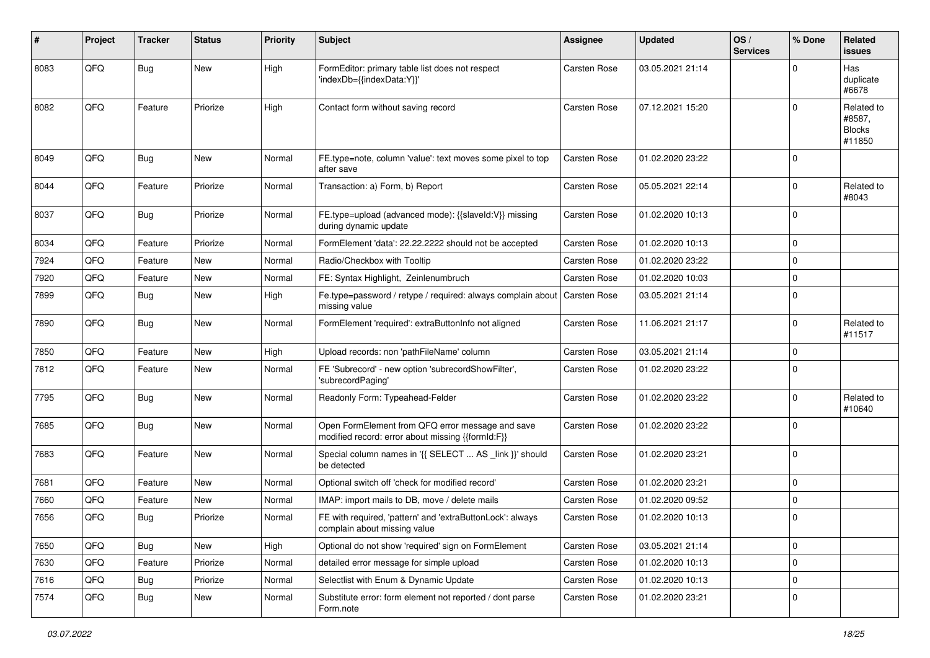| #    | Project | <b>Tracker</b> | <b>Status</b> | <b>Priority</b> | <b>Subject</b>                                                                                        | <b>Assignee</b>     | <b>Updated</b>   | OS/<br><b>Services</b> | % Done      | <b>Related</b><br><b>issues</b>                 |
|------|---------|----------------|---------------|-----------------|-------------------------------------------------------------------------------------------------------|---------------------|------------------|------------------------|-------------|-------------------------------------------------|
| 8083 | QFQ     | <b>Bug</b>     | New           | High            | FormEditor: primary table list does not respect<br>'indexDb={{indexData:Y}}'                          | Carsten Rose        | 03.05.2021 21:14 |                        | $\Omega$    | Has<br>duplicate<br>#6678                       |
| 8082 | QFQ     | Feature        | Priorize      | High            | Contact form without saving record                                                                    | Carsten Rose        | 07.12.2021 15:20 |                        | $\Omega$    | Related to<br>#8587,<br><b>Blocks</b><br>#11850 |
| 8049 | QFQ     | <b>Bug</b>     | <b>New</b>    | Normal          | FE.type=note, column 'value': text moves some pixel to top<br>after save                              | Carsten Rose        | 01.02.2020 23:22 |                        | $\Omega$    |                                                 |
| 8044 | QFQ     | Feature        | Priorize      | Normal          | Transaction: a) Form, b) Report                                                                       | Carsten Rose        | 05.05.2021 22:14 |                        | $\Omega$    | Related to<br>#8043                             |
| 8037 | QFQ     | <b>Bug</b>     | Priorize      | Normal          | FE.type=upload (advanced mode): {{slaveld:V}} missing<br>during dynamic update                        | Carsten Rose        | 01.02.2020 10:13 |                        | $\Omega$    |                                                 |
| 8034 | QFQ     | Feature        | Priorize      | Normal          | FormElement 'data': 22.22.2222 should not be accepted                                                 | Carsten Rose        | 01.02.2020 10:13 |                        | $\mathbf 0$ |                                                 |
| 7924 | QFQ     | Feature        | <b>New</b>    | Normal          | Radio/Checkbox with Tooltip                                                                           | Carsten Rose        | 01.02.2020 23:22 |                        | $\Omega$    |                                                 |
| 7920 | QFQ     | Feature        | <b>New</b>    | Normal          | FE: Syntax Highlight, Zeinlenumbruch                                                                  | Carsten Rose        | 01.02.2020 10:03 |                        | $\Omega$    |                                                 |
| 7899 | QFQ     | <b>Bug</b>     | <b>New</b>    | High            | Fe.type=password / retype / required: always complain about<br>missing value                          | <b>Carsten Rose</b> | 03.05.2021 21:14 |                        | $\Omega$    |                                                 |
| 7890 | QFQ     | <b>Bug</b>     | <b>New</b>    | Normal          | FormElement 'required': extraButtonInfo not aligned                                                   | <b>Carsten Rose</b> | 11.06.2021 21:17 |                        | $\Omega$    | Related to<br>#11517                            |
| 7850 | QFQ     | Feature        | <b>New</b>    | High            | Upload records: non 'pathFileName' column                                                             | Carsten Rose        | 03.05.2021 21:14 |                        | $\mathbf 0$ |                                                 |
| 7812 | QFQ     | Feature        | <b>New</b>    | Normal          | FE 'Subrecord' - new option 'subrecordShowFilter',<br>'subrecordPaging'                               | Carsten Rose        | 01.02.2020 23:22 |                        | $\Omega$    |                                                 |
| 7795 | QFQ     | Bug            | <b>New</b>    | Normal          | Readonly Form: Typeahead-Felder                                                                       | Carsten Rose        | 01.02.2020 23:22 |                        | $\Omega$    | Related to<br>#10640                            |
| 7685 | QFQ     | <b>Bug</b>     | <b>New</b>    | Normal          | Open FormElement from QFQ error message and save<br>modified record: error about missing {{formId:F}} | Carsten Rose        | 01.02.2020 23:22 |                        | $\Omega$    |                                                 |
| 7683 | QFQ     | Feature        | <b>New</b>    | Normal          | Special column names in '{{ SELECT  AS _link }}' should<br>be detected                                | Carsten Rose        | 01.02.2020 23:21 |                        | $\Omega$    |                                                 |
| 7681 | QFQ     | Feature        | <b>New</b>    | Normal          | Optional switch off 'check for modified record'                                                       | <b>Carsten Rose</b> | 01.02.2020 23:21 |                        | $\Omega$    |                                                 |
| 7660 | QFQ     | Feature        | <b>New</b>    | Normal          | IMAP: import mails to DB, move / delete mails                                                         | Carsten Rose        | 01.02.2020 09:52 |                        | 0           |                                                 |
| 7656 | QFQ     | <b>Bug</b>     | Priorize      | Normal          | FE with required, 'pattern' and 'extraButtonLock': always<br>complain about missing value             | Carsten Rose        | 01.02.2020 10:13 |                        | $\Omega$    |                                                 |
| 7650 | QFQ     | Bug            | New           | High            | Optional do not show 'required' sign on FormElement                                                   | Carsten Rose        | 03.05.2021 21:14 |                        | $\mathbf 0$ |                                                 |
| 7630 | QFQ     | Feature        | Priorize      | Normal          | detailed error message for simple upload                                                              | Carsten Rose        | 01.02.2020 10:13 |                        | $\mathbf 0$ |                                                 |
| 7616 | QFQ     | Bug            | Priorize      | Normal          | Selectlist with Enum & Dynamic Update                                                                 | Carsten Rose        | 01.02.2020 10:13 |                        | $\mathbf 0$ |                                                 |
| 7574 | QFQ     | Bug            | New           | Normal          | Substitute error: form element not reported / dont parse<br>Form.note                                 | Carsten Rose        | 01.02.2020 23:21 |                        | 0           |                                                 |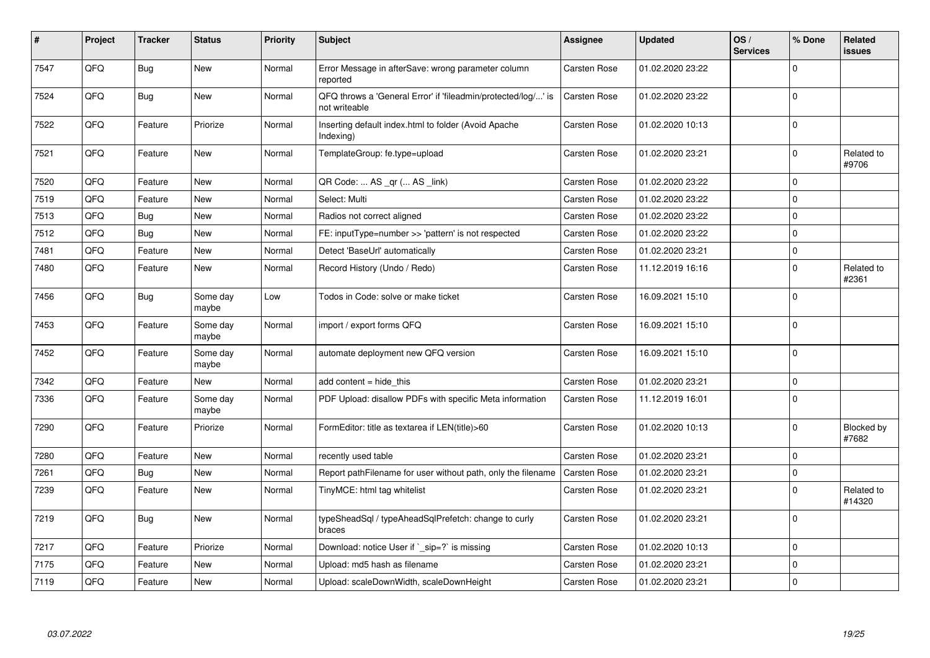| #    | Project | <b>Tracker</b> | <b>Status</b>     | <b>Priority</b> | <b>Subject</b>                                                                 | Assignee            | <b>Updated</b>   | OS/<br><b>Services</b> | % Done      | Related<br><b>issues</b> |
|------|---------|----------------|-------------------|-----------------|--------------------------------------------------------------------------------|---------------------|------------------|------------------------|-------------|--------------------------|
| 7547 | QFQ     | Bug            | <b>New</b>        | Normal          | Error Message in afterSave: wrong parameter column<br>reported                 | Carsten Rose        | 01.02.2020 23:22 |                        | $\Omega$    |                          |
| 7524 | QFQ     | Bug            | <b>New</b>        | Normal          | QFQ throws a 'General Error' if 'fileadmin/protected/log/' is<br>not writeable | <b>Carsten Rose</b> | 01.02.2020 23:22 |                        | $\Omega$    |                          |
| 7522 | QFQ     | Feature        | Priorize          | Normal          | Inserting default index.html to folder (Avoid Apache<br>Indexing)              | Carsten Rose        | 01.02.2020 10:13 |                        | $\Omega$    |                          |
| 7521 | QFQ     | Feature        | <b>New</b>        | Normal          | TemplateGroup: fe.type=upload                                                  | Carsten Rose        | 01.02.2020 23:21 |                        | $\mathbf 0$ | Related to<br>#9706      |
| 7520 | QFQ     | Feature        | New               | Normal          | QR Code:  AS _qr ( AS _link)                                                   | Carsten Rose        | 01.02.2020 23:22 |                        | $\mathbf 0$ |                          |
| 7519 | QFQ     | Feature        | <b>New</b>        | Normal          | Select: Multi                                                                  | Carsten Rose        | 01.02.2020 23:22 |                        | $\Omega$    |                          |
| 7513 | QFQ     | <b>Bug</b>     | <b>New</b>        | Normal          | Radios not correct aligned                                                     | Carsten Rose        | 01.02.2020 23:22 |                        | $\Omega$    |                          |
| 7512 | QFQ     | Bug            | <b>New</b>        | Normal          | FE: inputType=number >> 'pattern' is not respected                             | Carsten Rose        | 01.02.2020 23:22 |                        | $\Omega$    |                          |
| 7481 | QFQ     | Feature        | New               | Normal          | Detect 'BaseUrl' automatically                                                 | Carsten Rose        | 01.02.2020 23:21 |                        | $\mathbf 0$ |                          |
| 7480 | QFQ     | Feature        | New               | Normal          | Record History (Undo / Redo)                                                   | <b>Carsten Rose</b> | 11.12.2019 16:16 |                        | $\Omega$    | Related to<br>#2361      |
| 7456 | QFQ     | Bug            | Some day<br>maybe | Low             | Todos in Code: solve or make ticket                                            | Carsten Rose        | 16.09.2021 15:10 |                        | $\mathbf 0$ |                          |
| 7453 | QFQ     | Feature        | Some day<br>maybe | Normal          | import / export forms QFQ                                                      | Carsten Rose        | 16.09.2021 15:10 |                        | $\Omega$    |                          |
| 7452 | QFQ     | Feature        | Some day<br>maybe | Normal          | automate deployment new QFQ version                                            | Carsten Rose        | 16.09.2021 15:10 |                        | $\Omega$    |                          |
| 7342 | QFQ     | Feature        | <b>New</b>        | Normal          | add content = hide this                                                        | Carsten Rose        | 01.02.2020 23:21 |                        | $\Omega$    |                          |
| 7336 | QFQ     | Feature        | Some day<br>maybe | Normal          | PDF Upload: disallow PDFs with specific Meta information                       | Carsten Rose        | 11.12.2019 16:01 |                        | $\Omega$    |                          |
| 7290 | QFQ     | Feature        | Priorize          | Normal          | FormEditor: title as textarea if LEN(title)>60                                 | Carsten Rose        | 01.02.2020 10:13 |                        | $\Omega$    | Blocked by<br>#7682      |
| 7280 | QFQ     | Feature        | <b>New</b>        | Normal          | recently used table                                                            | Carsten Rose        | 01.02.2020 23:21 |                        | $\mathbf 0$ |                          |
| 7261 | QFQ     | Bug            | New               | Normal          | Report pathFilename for user without path, only the filename                   | <b>Carsten Rose</b> | 01.02.2020 23:21 |                        | 0           |                          |
| 7239 | QFQ     | Feature        | New               | Normal          | TinyMCE: html tag whitelist                                                    | Carsten Rose        | 01.02.2020 23:21 |                        | $\Omega$    | Related to<br>#14320     |
| 7219 | QFQ     | Bug            | <b>New</b>        | Normal          | typeSheadSql / typeAheadSqlPrefetch: change to curly<br>braces                 | Carsten Rose        | 01.02.2020 23:21 |                        | $\Omega$    |                          |
| 7217 | QFQ     | Feature        | Priorize          | Normal          | Download: notice User if ` sip=?` is missing                                   | Carsten Rose        | 01.02.2020 10:13 |                        | $\Omega$    |                          |
| 7175 | QFQ     | Feature        | New               | Normal          | Upload: md5 hash as filename                                                   | Carsten Rose        | 01.02.2020 23:21 |                        | $\mathbf 0$ |                          |
| 7119 | QFQ     | Feature        | New               | Normal          | Upload: scaleDownWidth, scaleDownHeight                                        | Carsten Rose        | 01.02.2020 23:21 |                        | $\Omega$    |                          |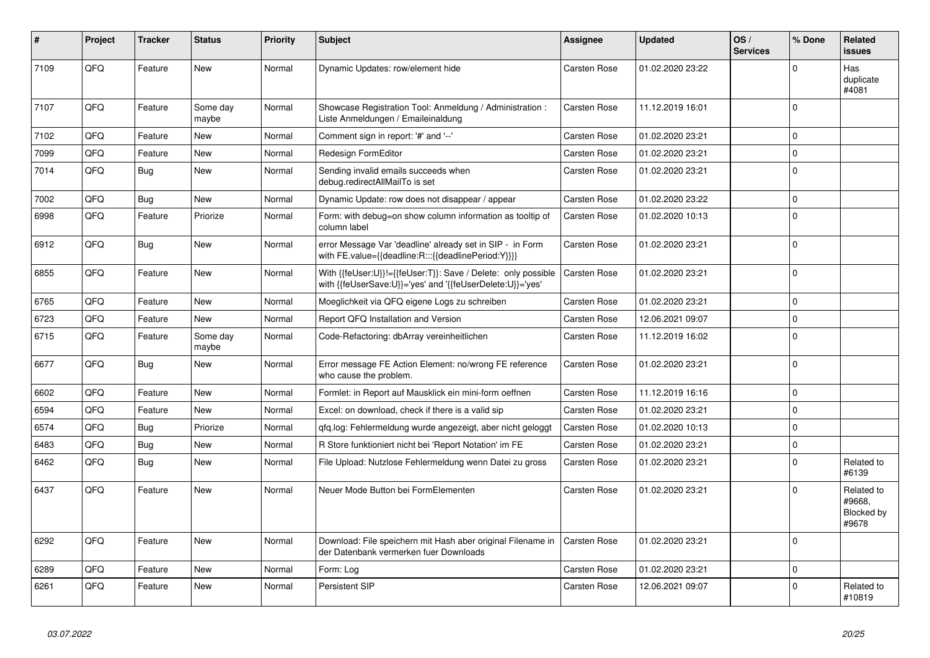| #    | Project | <b>Tracker</b> | <b>Status</b>     | <b>Priority</b> | <b>Subject</b>                                                                                                             | Assignee            | <b>Updated</b>   | OS/<br><b>Services</b> | % Done      | <b>Related</b><br>issues                    |
|------|---------|----------------|-------------------|-----------------|----------------------------------------------------------------------------------------------------------------------------|---------------------|------------------|------------------------|-------------|---------------------------------------------|
| 7109 | QFQ     | Feature        | <b>New</b>        | Normal          | Dynamic Updates: row/element hide                                                                                          | <b>Carsten Rose</b> | 01.02.2020 23:22 |                        | $\Omega$    | Has<br>duplicate<br>#4081                   |
| 7107 | QFQ     | Feature        | Some day<br>maybe | Normal          | Showcase Registration Tool: Anmeldung / Administration :<br>Liste Anmeldungen / Emaileinaldung                             | <b>Carsten Rose</b> | 11.12.2019 16:01 |                        | $\Omega$    |                                             |
| 7102 | QFQ     | Feature        | <b>New</b>        | Normal          | Comment sign in report: '#' and '--'                                                                                       | Carsten Rose        | 01.02.2020 23:21 |                        | $\Omega$    |                                             |
| 7099 | QFQ     | Feature        | New               | Normal          | Redesign FormEditor                                                                                                        | <b>Carsten Rose</b> | 01.02.2020 23:21 |                        | $\Omega$    |                                             |
| 7014 | QFQ     | Bug            | New               | Normal          | Sending invalid emails succeeds when<br>debug.redirectAllMailTo is set                                                     | <b>Carsten Rose</b> | 01.02.2020 23:21 |                        | $\Omega$    |                                             |
| 7002 | QFQ     | Bug            | <b>New</b>        | Normal          | Dynamic Update: row does not disappear / appear                                                                            | <b>Carsten Rose</b> | 01.02.2020 23:22 |                        | $\Omega$    |                                             |
| 6998 | QFQ     | Feature        | Priorize          | Normal          | Form: with debug=on show column information as tooltip of<br>column label                                                  | <b>Carsten Rose</b> | 01.02.2020 10:13 |                        | $\Omega$    |                                             |
| 6912 | QFQ     | Bug            | <b>New</b>        | Normal          | error Message Var 'deadline' already set in SIP - in Form<br>with FE.value={{deadline:R:::{{deadlinePeriod:Y}}}}           | <b>Carsten Rose</b> | 01.02.2020 23:21 |                        | $\Omega$    |                                             |
| 6855 | QFQ     | Feature        | <b>New</b>        | Normal          | With {{feUser:U}}!={{feUser:T}}: Save / Delete: only possible<br>with {{feUserSave:U}}='yes' and '{{feUserDelete:U}}='yes' | <b>Carsten Rose</b> | 01.02.2020 23:21 |                        | $\Omega$    |                                             |
| 6765 | QFQ     | Feature        | <b>New</b>        | Normal          | Moeglichkeit via QFQ eigene Logs zu schreiben                                                                              | Carsten Rose        | 01.02.2020 23:21 |                        | $\Omega$    |                                             |
| 6723 | QFQ     | Feature        | <b>New</b>        | Normal          | Report QFQ Installation and Version                                                                                        | Carsten Rose        | 12.06.2021 09:07 |                        | $\Omega$    |                                             |
| 6715 | QFQ     | Feature        | Some day<br>maybe | Normal          | Code-Refactoring: dbArray vereinheitlichen                                                                                 | <b>Carsten Rose</b> | 11.12.2019 16:02 |                        | $\Omega$    |                                             |
| 6677 | QFQ     | Bug            | <b>New</b>        | Normal          | Error message FE Action Element: no/wrong FE reference<br>who cause the problem.                                           | Carsten Rose        | 01.02.2020 23:21 |                        | $\Omega$    |                                             |
| 6602 | QFQ     | Feature        | <b>New</b>        | Normal          | Formlet: in Report auf Mausklick ein mini-form oeffnen                                                                     | Carsten Rose        | 11.12.2019 16:16 |                        | $\Omega$    |                                             |
| 6594 | QFQ     | Feature        | <b>New</b>        | Normal          | Excel: on download, check if there is a valid sip                                                                          | Carsten Rose        | 01.02.2020 23:21 |                        | $\Omega$    |                                             |
| 6574 | QFQ     | Bug            | Priorize          | Normal          | gfg.log: Fehlermeldung wurde angezeigt, aber nicht geloggt                                                                 | <b>Carsten Rose</b> | 01.02.2020 10:13 |                        | $\Omega$    |                                             |
| 6483 | QFQ     | Bug            | <b>New</b>        | Normal          | R Store funktioniert nicht bei 'Report Notation' im FE                                                                     | Carsten Rose        | 01.02.2020 23:21 |                        | $\Omega$    |                                             |
| 6462 | QFQ     | Bug            | New               | Normal          | File Upload: Nutzlose Fehlermeldung wenn Datei zu gross                                                                    | Carsten Rose        | 01.02.2020 23:21 |                        | $\Omega$    | Related to<br>#6139                         |
| 6437 | QFQ     | Feature        | <b>New</b>        | Normal          | Neuer Mode Button bei FormElementen                                                                                        | Carsten Rose        | 01.02.2020 23:21 |                        | $\Omega$    | Related to<br>#9668.<br>Blocked by<br>#9678 |
| 6292 | QFQ     | Feature        | <b>New</b>        | Normal          | Download: File speichern mit Hash aber original Filename in<br>der Datenbank vermerken fuer Downloads                      | <b>Carsten Rose</b> | 01.02.2020 23:21 |                        | $\Omega$    |                                             |
| 6289 | QFQ     | Feature        | <b>New</b>        | Normal          | Form: Log                                                                                                                  | Carsten Rose        | 01.02.2020 23:21 |                        | $\mathbf 0$ |                                             |
| 6261 | QFQ     | Feature        | <b>New</b>        | Normal          | Persistent SIP                                                                                                             | Carsten Rose        | 12.06.2021 09:07 |                        | $\Omega$    | Related to<br>#10819                        |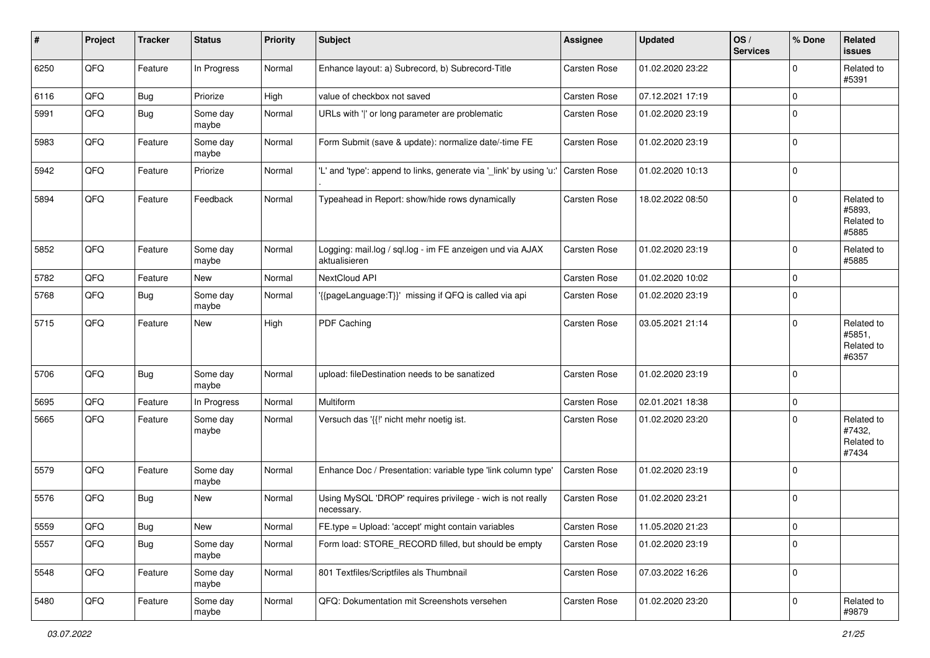| ∦    | Project        | <b>Tracker</b> | <b>Status</b>     | <b>Priority</b> | <b>Subject</b>                                                             | Assignee            | <b>Updated</b>   | OS/<br><b>Services</b> | % Done      | Related<br><b>issues</b>                    |
|------|----------------|----------------|-------------------|-----------------|----------------------------------------------------------------------------|---------------------|------------------|------------------------|-------------|---------------------------------------------|
| 6250 | QFQ            | Feature        | In Progress       | Normal          | Enhance layout: a) Subrecord, b) Subrecord-Title                           | <b>Carsten Rose</b> | 01.02.2020 23:22 |                        | $\mathbf 0$ | Related to<br>#5391                         |
| 6116 | QFQ            | <b>Bug</b>     | Priorize          | High            | value of checkbox not saved                                                | Carsten Rose        | 07.12.2021 17:19 |                        | $\mathbf 0$ |                                             |
| 5991 | QFQ            | Bug            | Some day<br>maybe | Normal          | URLs with ' ' or long parameter are problematic                            | Carsten Rose        | 01.02.2020 23:19 |                        | $\mathbf 0$ |                                             |
| 5983 | QFQ            | Feature        | Some day<br>maybe | Normal          | Form Submit (save & update): normalize date/-time FE                       | Carsten Rose        | 01.02.2020 23:19 |                        | $\mathbf 0$ |                                             |
| 5942 | QFQ            | Feature        | Priorize          | Normal          | 'L' and 'type': append to links, generate via '_link' by using 'u:'        | Carsten Rose        | 01.02.2020 10:13 |                        | $\mathbf 0$ |                                             |
| 5894 | QFQ            | Feature        | Feedback          | Normal          | Typeahead in Report: show/hide rows dynamically                            | Carsten Rose        | 18.02.2022 08:50 |                        | $\mathbf 0$ | Related to<br>#5893,<br>Related to<br>#5885 |
| 5852 | QFQ            | Feature        | Some day<br>maybe | Normal          | Logging: mail.log / sql.log - im FE anzeigen und via AJAX<br>aktualisieren | Carsten Rose        | 01.02.2020 23:19 |                        | $\mathbf 0$ | Related to<br>#5885                         |
| 5782 | QFQ            | Feature        | New               | Normal          | NextCloud API                                                              | Carsten Rose        | 01.02.2020 10:02 |                        | $\mathbf 0$ |                                             |
| 5768 | QFQ            | <b>Bug</b>     | Some day<br>maybe | Normal          | '{{pageLanguage:T}}' missing if QFQ is called via api                      | Carsten Rose        | 01.02.2020 23:19 |                        | $\mathbf 0$ |                                             |
| 5715 | QFQ            | Feature        | New               | High            | PDF Caching                                                                | Carsten Rose        | 03.05.2021 21:14 |                        | $\mathbf 0$ | Related to<br>#5851,<br>Related to<br>#6357 |
| 5706 | QFQ            | Bug            | Some day<br>maybe | Normal          | upload: fileDestination needs to be sanatized                              | Carsten Rose        | 01.02.2020 23:19 |                        | $\mathbf 0$ |                                             |
| 5695 | QFQ            | Feature        | In Progress       | Normal          | Multiform                                                                  | Carsten Rose        | 02.01.2021 18:38 |                        | $\mathbf 0$ |                                             |
| 5665 | QFQ            | Feature        | Some day<br>maybe | Normal          | Versuch das '{{!' nicht mehr noetig ist.                                   | Carsten Rose        | 01.02.2020 23:20 |                        | $\mathbf 0$ | Related to<br>#7432,<br>Related to<br>#7434 |
| 5579 | QFQ            | Feature        | Some day<br>maybe | Normal          | Enhance Doc / Presentation: variable type 'link column type'               | Carsten Rose        | 01.02.2020 23:19 |                        | $\mathbf 0$ |                                             |
| 5576 | QFQ            | Bug            | New               | Normal          | Using MySQL 'DROP' requires privilege - wich is not really<br>necessary.   | Carsten Rose        | 01.02.2020 23:21 |                        | $\mathbf 0$ |                                             |
| 5559 | $\mathsf{QFQ}$ | <b>Bug</b>     | New               | Normal          | FE.type = Upload: 'accept' might contain variables                         | Carsten Rose        | 11.05.2020 21:23 |                        | $\mathsf 0$ |                                             |
| 5557 | QFQ            | Bug            | Some day<br>maybe | Normal          | Form load: STORE_RECORD filled, but should be empty                        | Carsten Rose        | 01.02.2020 23:19 |                        | $\mathbf 0$ |                                             |
| 5548 | QFQ            | Feature        | Some day<br>maybe | Normal          | 801 Textfiles/Scriptfiles als Thumbnail                                    | Carsten Rose        | 07.03.2022 16:26 |                        | $\mathbf 0$ |                                             |
| 5480 | QFQ            | Feature        | Some day<br>maybe | Normal          | QFQ: Dokumentation mit Screenshots versehen                                | Carsten Rose        | 01.02.2020 23:20 |                        | $\mathbf 0$ | Related to<br>#9879                         |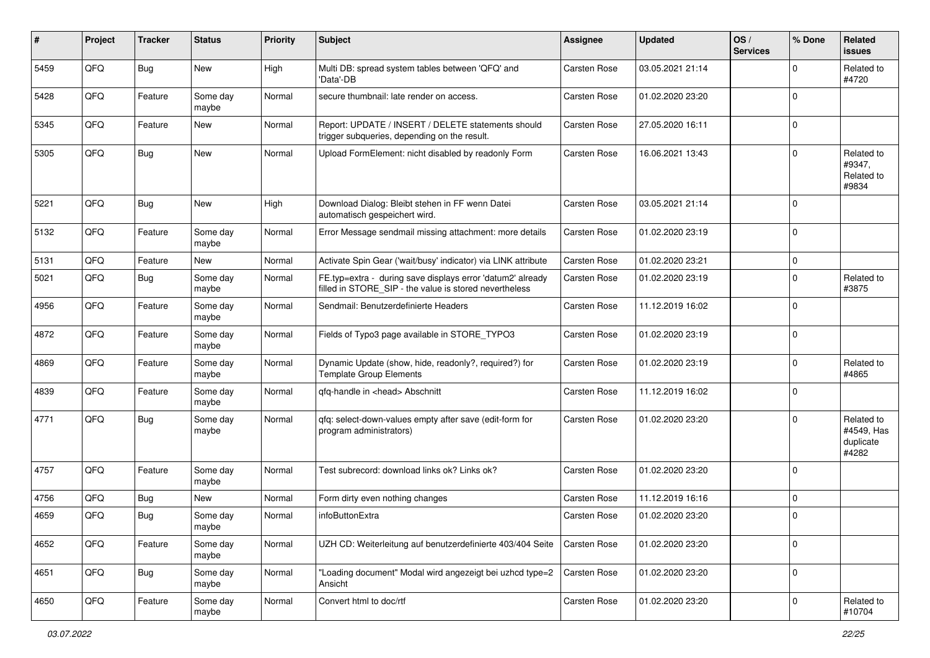| #    | Project | <b>Tracker</b> | <b>Status</b>     | <b>Priority</b> | <b>Subject</b>                                                                                                       | <b>Assignee</b>     | <b>Updated</b>   | OS/<br><b>Services</b> | % Done      | Related<br><b>issues</b>                       |
|------|---------|----------------|-------------------|-----------------|----------------------------------------------------------------------------------------------------------------------|---------------------|------------------|------------------------|-------------|------------------------------------------------|
| 5459 | QFQ     | Bug            | New               | High            | Multi DB: spread system tables between 'QFQ' and<br>'Data'-DB                                                        | Carsten Rose        | 03.05.2021 21:14 |                        | ∩           | Related to<br>#4720                            |
| 5428 | QFQ     | Feature        | Some day<br>maybe | Normal          | secure thumbnail: late render on access.                                                                             | <b>Carsten Rose</b> | 01.02.2020 23:20 |                        | $\mathbf 0$ |                                                |
| 5345 | QFQ     | Feature        | New               | Normal          | Report: UPDATE / INSERT / DELETE statements should<br>trigger subqueries, depending on the result.                   | Carsten Rose        | 27.05.2020 16:11 |                        | $\Omega$    |                                                |
| 5305 | QFQ     | Bug            | New               | Normal          | Upload FormElement: nicht disabled by readonly Form                                                                  | Carsten Rose        | 16.06.2021 13:43 |                        | $\Omega$    | Related to<br>#9347,<br>Related to<br>#9834    |
| 5221 | QFQ     | Bug            | <b>New</b>        | High            | Download Dialog: Bleibt stehen in FF wenn Datei<br>automatisch gespeichert wird.                                     | Carsten Rose        | 03.05.2021 21:14 |                        | $\Omega$    |                                                |
| 5132 | QFQ     | Feature        | Some day<br>maybe | Normal          | Error Message sendmail missing attachment: more details                                                              | Carsten Rose        | 01.02.2020 23:19 |                        | $\mathbf 0$ |                                                |
| 5131 | QFQ     | Feature        | New               | Normal          | Activate Spin Gear ('wait/busy' indicator) via LINK attribute                                                        | Carsten Rose        | 01.02.2020 23:21 |                        | $\mathbf 0$ |                                                |
| 5021 | QFQ     | Bug            | Some day<br>maybe | Normal          | FE.typ=extra - during save displays error 'datum2' already<br>filled in STORE_SIP - the value is stored nevertheless | Carsten Rose        | 01.02.2020 23:19 |                        | $\Omega$    | Related to<br>#3875                            |
| 4956 | QFQ     | Feature        | Some day<br>maybe | Normal          | Sendmail: Benutzerdefinierte Headers                                                                                 | <b>Carsten Rose</b> | 11.12.2019 16:02 |                        | $\Omega$    |                                                |
| 4872 | QFQ     | Feature        | Some day<br>maybe | Normal          | Fields of Typo3 page available in STORE_TYPO3                                                                        | Carsten Rose        | 01.02.2020 23:19 |                        | 0           |                                                |
| 4869 | QFQ     | Feature        | Some day<br>maybe | Normal          | Dynamic Update (show, hide, readonly?, required?) for<br><b>Template Group Elements</b>                              | Carsten Rose        | 01.02.2020 23:19 |                        | $\Omega$    | Related to<br>#4865                            |
| 4839 | QFQ     | Feature        | Some day<br>maybe | Normal          | qfq-handle in <head> Abschnitt</head>                                                                                | Carsten Rose        | 11.12.2019 16:02 |                        | $\Omega$    |                                                |
| 4771 | QFQ     | <b>Bug</b>     | Some day<br>maybe | Normal          | gfg: select-down-values empty after save (edit-form for<br>program administrators)                                   | Carsten Rose        | 01.02.2020 23:20 |                        | $\Omega$    | Related to<br>#4549, Has<br>duplicate<br>#4282 |
| 4757 | QFQ     | Feature        | Some day<br>maybe | Normal          | Test subrecord: download links ok? Links ok?                                                                         | Carsten Rose        | 01.02.2020 23:20 |                        | $\Omega$    |                                                |
| 4756 | QFQ     | Bug            | New               | Normal          | Form dirty even nothing changes                                                                                      | <b>Carsten Rose</b> | 11.12.2019 16:16 |                        | $\mathbf 0$ |                                                |
| 4659 | QFQ     | <b>Bug</b>     | Some day<br>maybe | Normal          | infoButtonExtra                                                                                                      | Carsten Rose        | 01.02.2020 23:20 |                        | $\Omega$    |                                                |
| 4652 | QFQ     | Feature        | Some day<br>maybe | Normal          | UZH CD: Weiterleitung auf benutzerdefinierte 403/404 Seite                                                           | <b>Carsten Rose</b> | 01.02.2020 23:20 |                        | 0           |                                                |
| 4651 | QFQ     | <b>Bug</b>     | Some day<br>maybe | Normal          | "Loading document" Modal wird angezeigt bei uzhcd type=2<br>Ansicht                                                  | <b>Carsten Rose</b> | 01.02.2020 23:20 |                        | 0           |                                                |
| 4650 | QFQ     | Feature        | Some day<br>maybe | Normal          | Convert html to doc/rtf                                                                                              | Carsten Rose        | 01.02.2020 23:20 |                        | $\mathbf 0$ | Related to<br>#10704                           |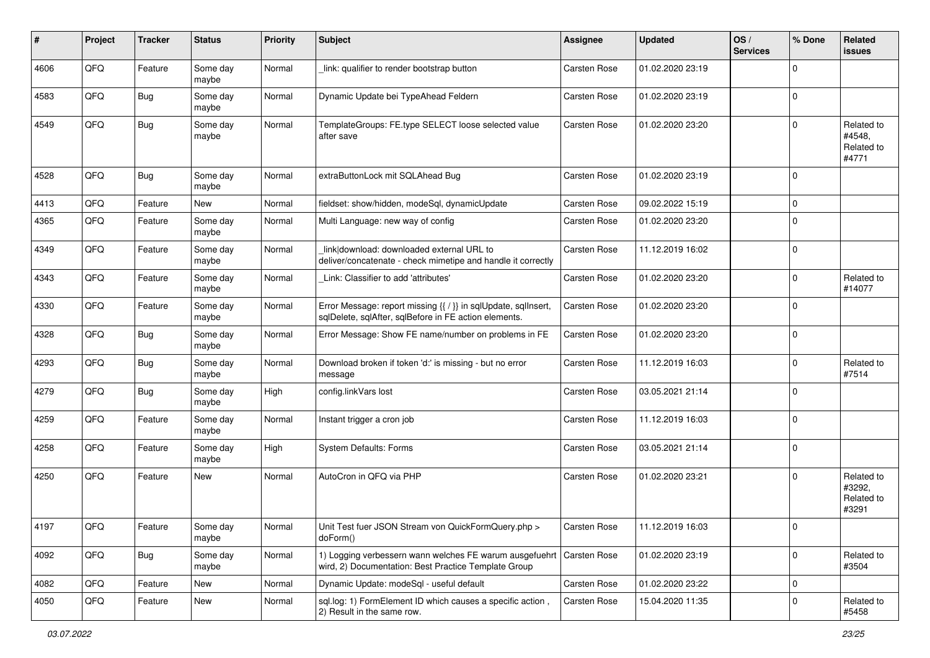| #    | Project        | <b>Tracker</b> | <b>Status</b>     | <b>Priority</b> | <b>Subject</b>                                                                                                          | <b>Assignee</b> | <b>Updated</b>   | OS/<br><b>Services</b> | % Done      | Related<br><b>issues</b>                    |
|------|----------------|----------------|-------------------|-----------------|-------------------------------------------------------------------------------------------------------------------------|-----------------|------------------|------------------------|-------------|---------------------------------------------|
| 4606 | QFQ            | Feature        | Some day<br>maybe | Normal          | link: qualifier to render bootstrap button                                                                              | Carsten Rose    | 01.02.2020 23:19 |                        | $\Omega$    |                                             |
| 4583 | QFQ            | Bug            | Some day<br>maybe | Normal          | Dynamic Update bei TypeAhead Feldern                                                                                    | Carsten Rose    | 01.02.2020 23:19 |                        | 0           |                                             |
| 4549 | QFQ            | Bug            | Some day<br>maybe | Normal          | TemplateGroups: FE.type SELECT loose selected value<br>after save                                                       | Carsten Rose    | 01.02.2020 23:20 |                        | $\Omega$    | Related to<br>#4548,<br>Related to<br>#4771 |
| 4528 | QFQ            | Bug            | Some day<br>maybe | Normal          | extraButtonLock mit SQLAhead Bug                                                                                        | Carsten Rose    | 01.02.2020 23:19 |                        | $\mathbf 0$ |                                             |
| 4413 | QFQ            | Feature        | New               | Normal          | fieldset: show/hidden, modeSql, dynamicUpdate                                                                           | Carsten Rose    | 09.02.2022 15:19 |                        | $\mathbf 0$ |                                             |
| 4365 | QFQ            | Feature        | Some day<br>maybe | Normal          | Multi Language: new way of config                                                                                       | Carsten Rose    | 01.02.2020 23:20 |                        | $\Omega$    |                                             |
| 4349 | QFQ            | Feature        | Some day<br>maybe | Normal          | link download: downloaded external URL to<br>deliver/concatenate - check mimetipe and handle it correctly               | Carsten Rose    | 11.12.2019 16:02 |                        | $\Omega$    |                                             |
| 4343 | QFQ            | Feature        | Some day<br>maybe | Normal          | Link: Classifier to add 'attributes'                                                                                    | Carsten Rose    | 01.02.2020 23:20 |                        | $\Omega$    | Related to<br>#14077                        |
| 4330 | QFQ            | Feature        | Some day<br>maybe | Normal          | Error Message: report missing {{ / }} in sqlUpdate, sqlInsert,<br>sqlDelete, sqlAfter, sqlBefore in FE action elements. | Carsten Rose    | 01.02.2020 23:20 |                        | $\mathbf 0$ |                                             |
| 4328 | QFQ            | Bug            | Some day<br>maybe | Normal          | Error Message: Show FE name/number on problems in FE                                                                    | Carsten Rose    | 01.02.2020 23:20 |                        | $\mathbf 0$ |                                             |
| 4293 | QFQ            | Bug            | Some day<br>maybe | Normal          | Download broken if token 'd:' is missing - but no error<br>message                                                      | Carsten Rose    | 11.12.2019 16:03 |                        | $\Omega$    | Related to<br>#7514                         |
| 4279 | QFQ            | Bug            | Some day<br>maybe | High            | config.linkVars lost                                                                                                    | Carsten Rose    | 03.05.2021 21:14 |                        | $\Omega$    |                                             |
| 4259 | QFQ            | Feature        | Some day<br>maybe | Normal          | Instant trigger a cron job                                                                                              | Carsten Rose    | 11.12.2019 16:03 |                        | $\mathbf 0$ |                                             |
| 4258 | QFQ            | Feature        | Some day<br>maybe | High            | System Defaults: Forms                                                                                                  | Carsten Rose    | 03.05.2021 21:14 |                        | $\mathbf 0$ |                                             |
| 4250 | QFQ            | Feature        | New               | Normal          | AutoCron in QFQ via PHP                                                                                                 | Carsten Rose    | 01.02.2020 23:21 |                        | 0           | Related to<br>#3292,<br>Related to<br>#3291 |
| 4197 | $\mathsf{QFQ}$ | Feature        | Some day<br>maybe | Normal          | Unit Test fuer JSON Stream von QuickFormQuery.php ><br>doForm()                                                         | Carsten Rose    | 11.12.2019 16:03 |                        |             |                                             |
| 4092 | QFQ            | <b>Bug</b>     | Some day<br>maybe | Normal          | 1) Logging verbessern wann welches FE warum ausgefuehrt<br>wird, 2) Documentation: Best Practice Template Group         | Carsten Rose    | 01.02.2020 23:19 |                        | $\mathbf 0$ | Related to<br>#3504                         |
| 4082 | QFQ            | Feature        | <b>New</b>        | Normal          | Dynamic Update: modeSql - useful default                                                                                | Carsten Rose    | 01.02.2020 23:22 |                        | 0           |                                             |
| 4050 | QFQ            | Feature        | New               | Normal          | sql.log: 1) FormElement ID which causes a specific action,<br>2) Result in the same row.                                | Carsten Rose    | 15.04.2020 11:35 |                        | $\mathbf 0$ | Related to<br>#5458                         |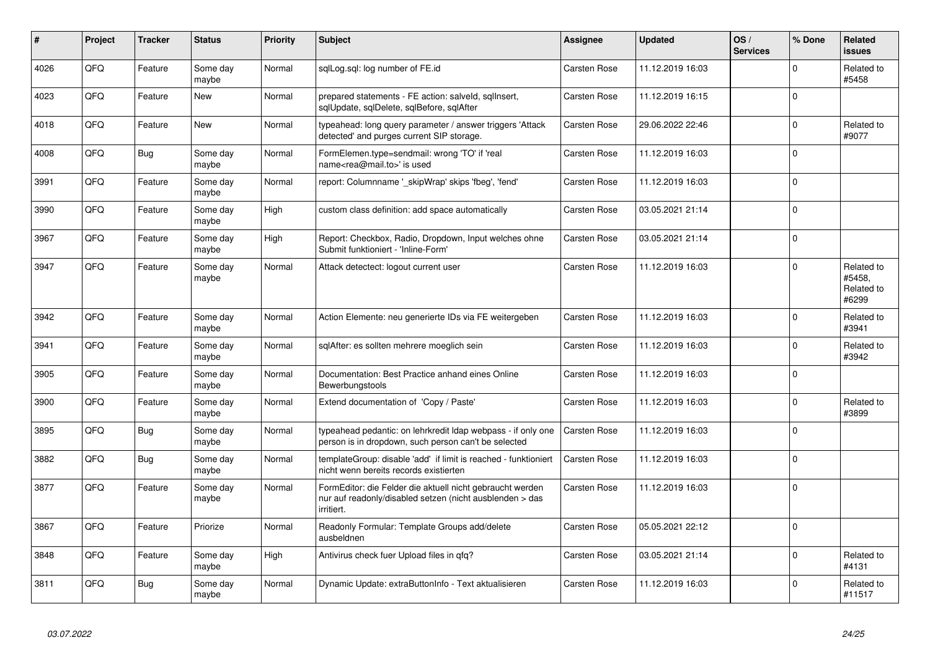| $\vert$ # | Project | <b>Tracker</b> | <b>Status</b>     | <b>Priority</b> | <b>Subject</b>                                                                                                                      | Assignee            | <b>Updated</b>   | OS/<br><b>Services</b> | % Done      | Related<br>issues                           |
|-----------|---------|----------------|-------------------|-----------------|-------------------------------------------------------------------------------------------------------------------------------------|---------------------|------------------|------------------------|-------------|---------------------------------------------|
| 4026      | QFQ     | Feature        | Some day<br>maybe | Normal          | sqlLog.sql: log number of FE.id                                                                                                     | Carsten Rose        | 11.12.2019 16:03 |                        | $\Omega$    | Related to<br>#5458                         |
| 4023      | QFQ     | Feature        | <b>New</b>        | Normal          | prepared statements - FE action: salveld, sglInsert,<br>sglUpdate, sglDelete, sglBefore, sglAfter                                   | Carsten Rose        | 11.12.2019 16:15 |                        | $\Omega$    |                                             |
| 4018      | QFQ     | Feature        | <b>New</b>        | Normal          | typeahead: long query parameter / answer triggers 'Attack<br>detected' and purges current SIP storage.                              | Carsten Rose        | 29.06.2022 22:46 |                        | $\Omega$    | Related to<br>#9077                         |
| 4008      | QFQ     | <b>Bug</b>     | Some day<br>maybe | Normal          | FormElemen.type=sendmail: wrong 'TO' if 'real<br>name <rea@mail.to>' is used</rea@mail.to>                                          | Carsten Rose        | 11.12.2019 16:03 |                        | $\Omega$    |                                             |
| 3991      | QFQ     | Feature        | Some day<br>maybe | Normal          | report: Columnname '_skipWrap' skips 'fbeg', 'fend'                                                                                 | Carsten Rose        | 11.12.2019 16:03 |                        | $\Omega$    |                                             |
| 3990      | QFQ     | Feature        | Some day<br>maybe | High            | custom class definition: add space automatically                                                                                    | <b>Carsten Rose</b> | 03.05.2021 21:14 |                        | $\Omega$    |                                             |
| 3967      | QFQ     | Feature        | Some day<br>maybe | High            | Report: Checkbox, Radio, Dropdown, Input welches ohne<br>Submit funktioniert - 'Inline-Form'                                        | <b>Carsten Rose</b> | 03.05.2021 21:14 |                        | $\Omega$    |                                             |
| 3947      | QFQ     | Feature        | Some day<br>maybe | Normal          | Attack detectect: logout current user                                                                                               | Carsten Rose        | 11.12.2019 16:03 |                        | $\Omega$    | Related to<br>#5458.<br>Related to<br>#6299 |
| 3942      | QFQ     | Feature        | Some day<br>maybe | Normal          | Action Elemente: neu generierte IDs via FE weitergeben                                                                              | Carsten Rose        | 11.12.2019 16:03 |                        | $\Omega$    | Related to<br>#3941                         |
| 3941      | QFQ     | Feature        | Some day<br>maybe | Normal          | sqlAfter: es sollten mehrere moeglich sein                                                                                          | Carsten Rose        | 11.12.2019 16:03 |                        | $\Omega$    | Related to<br>#3942                         |
| 3905      | QFQ     | Feature        | Some day<br>maybe | Normal          | Documentation: Best Practice anhand eines Online<br>Bewerbungstools                                                                 | Carsten Rose        | 11.12.2019 16:03 |                        | $\Omega$    |                                             |
| 3900      | QFQ     | Feature        | Some day<br>maybe | Normal          | Extend documentation of 'Copy / Paste'                                                                                              | Carsten Rose        | 11.12.2019 16:03 |                        | $\Omega$    | Related to<br>#3899                         |
| 3895      | QFQ     | Bug            | Some day<br>maybe | Normal          | typeahead pedantic: on lehrkredit Idap webpass - if only one<br>person is in dropdown, such person can't be selected                | Carsten Rose        | 11.12.2019 16:03 |                        | $\Omega$    |                                             |
| 3882      | QFQ     | <b>Bug</b>     | Some day<br>maybe | Normal          | templateGroup: disable 'add' if limit is reached - funktioniert<br>nicht wenn bereits records existierten                           | <b>Carsten Rose</b> | 11.12.2019 16:03 |                        | $\Omega$    |                                             |
| 3877      | QFQ     | Feature        | Some day<br>maybe | Normal          | FormEditor: die Felder die aktuell nicht gebraucht werden<br>nur auf readonly/disabled setzen (nicht ausblenden > das<br>irritiert. | <b>Carsten Rose</b> | 11.12.2019 16:03 |                        | $\mathbf 0$ |                                             |
| 3867      | QFQ     | Feature        | Priorize          | Normal          | Readonly Formular: Template Groups add/delete<br>ausbeldnen                                                                         | Carsten Rose        | 05.05.2021 22:12 |                        | I۵          |                                             |
| 3848      | QFQ     | Feature        | Some day<br>maybe | High            | Antivirus check fuer Upload files in qfq?                                                                                           | Carsten Rose        | 03.05.2021 21:14 |                        | $\Omega$    | Related to<br>#4131                         |
| 3811      | QFQ     | <b>Bug</b>     | Some day<br>maybe | Normal          | Dynamic Update: extraButtonInfo - Text aktualisieren                                                                                | <b>Carsten Rose</b> | 11.12.2019 16:03 |                        | $\Omega$    | Related to<br>#11517                        |